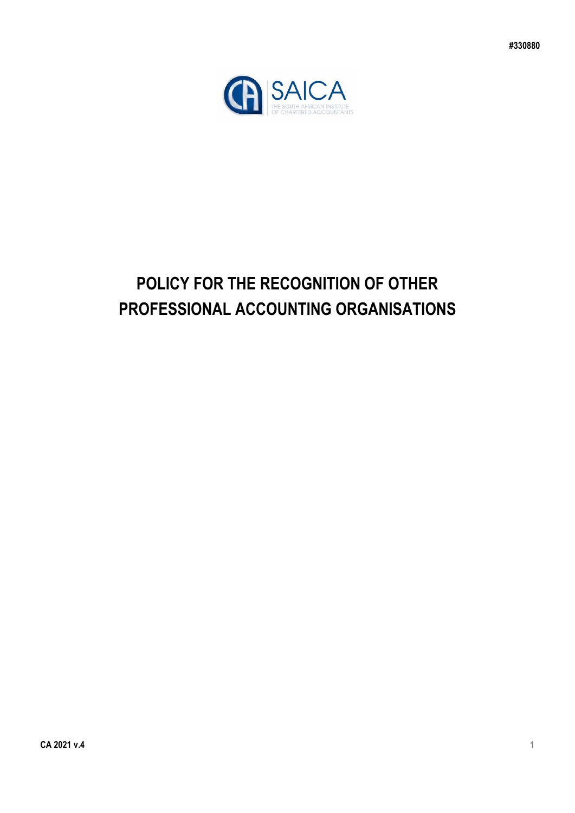

# **POLICY FOR THE RECOGNITION OF OTHER PROFESSIONAL ACCOUNTING ORGANISATIONS**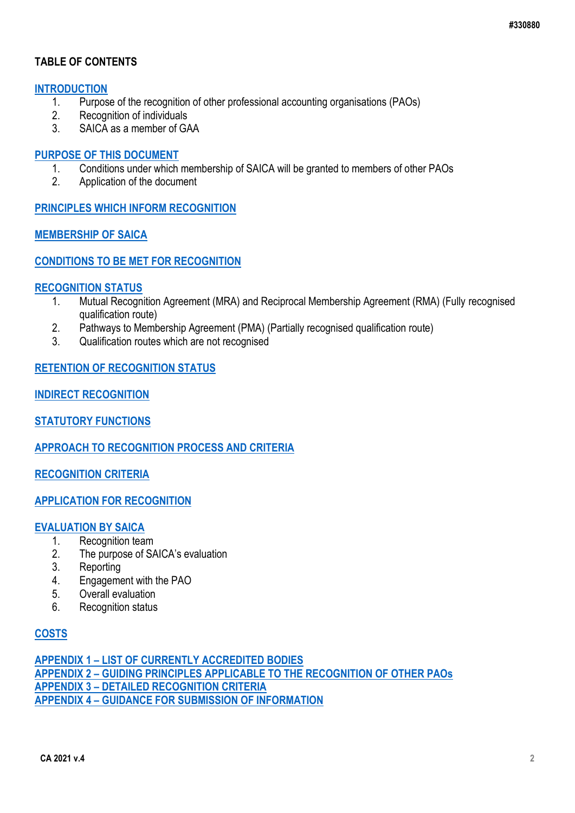### **TABLE OF CONTENTS**

# **[INTRODUCTION](#page-2-0)**<br>1 Purpos

- 1. Purpose of the recognition of other professional accounting organisations (PAOs)
- 2. Recognition of individuals
- 3. SAICA as a member of GAA

#### **[PURPOSE OF THIS DOCUMENT](#page-3-0)**

- 1. Conditions under which membership of SAICA will be granted to members of other PAOs
- 2. Application of the document

**[PRINCIPLES WHICH INFORM RECOGNITION](#page-3-1)**

### **[MEMBERSHIP OF SAICA](#page-4-0)**

### **[CONDITIONS TO BE MET FOR RECOGNITION](#page-4-1)**

#### **[RECOGNITION STATUS](#page-11-0)**

- 1. Mutual Recognition Agreement (MRA) and Reciprocal Membership Agreement (RMA) (Fully recognised qualification route)
- 2. Pathways to Membership Agreement (PMA) (Partially recognised qualification route)
- 3. Qualification routes which are not recognised

### **[RETENTION OF RECOGNITION STATUS](#page-6-0)**

**[INDIRECT RECOGNITION](#page-7-0)**

**[STATUTORY FUNCTIONS](#page-7-1)**

**[APPROACH TO RECOGNITION PROCESS AND CRITERIA](#page-8-0)**

**[RECOGNITION CRITERIA](#page-2-1)**

#### **[APPLICATION FOR RECOGNITION](#page-9-0)**

#### **[EVALUATION BY SAICA](#page-10-0)**

- 1. Recognition team
- 2. The purpose of SAICA's evaluation
- 3. Reporting
- 4. Engagement with the PAO
- 5. Overall evaluation
- 6. Recognition status

### **[COSTS](#page-11-1)**

**APPENDIX 1 – [LIST OF CURRENTLY ACCREDITED BODIES](#page-12-0) APPENDIX 2 – [GUIDING PRINCIPLES APPLICABLE TO THE RECOGNITION OF OTHER PAOs](#page-14-0) APPENDIX 3 – [DETAILED RECOGNITION CRITERIA](#page-15-0) APPENDIX 4 – [GUIDANCE FOR SUBMISSION OF INFORMATION](#page-25-0)**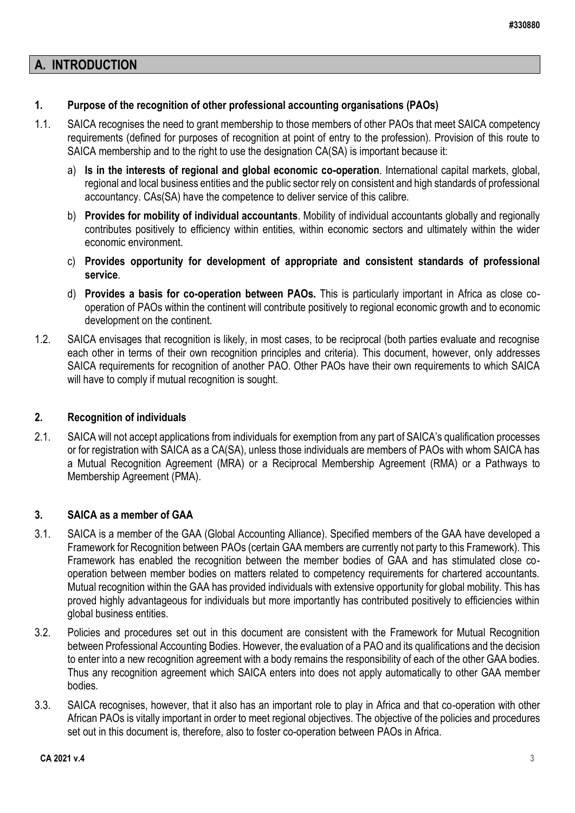### <span id="page-2-0"></span>**A. INTRODUCTION**

### **1. Purpose of the recognition of other professional accounting organisations (PAOs)**

- 1.1. SAICA recognises the need to grant membership to those members of other PAOs that meet SAICA competency requirements (defined for purposes of recognition at point of entry to the profession). Provision of this route to SAICA membership and to the right to use the designation CA(SA) is important because it:
	- a) **Is in the interests of regional and global economic co-operation**. International capital markets, global, regional and local business entities and the public sector rely on consistent and high standards of professional accountancy. CAs(SA) have the competence to deliver service of this calibre.
	- b) **Provides for mobility of individual accountants**. Mobility of individual accountants globally and regionally contributes positively to efficiency within entities, within economic sectors and ultimately within the wider economic environment.
	- c) **Provides opportunity for development of appropriate and consistent standards of professional service**.
	- d) **Provides a basis for co-operation between PAOs.** This is particularly important in Africa as close cooperation of PAOs within the continent will contribute positively to regional economic growth and to economic development on the continent.
- 1.2. SAICA envisages that recognition is likely, in most cases, to be reciprocal (both parties evaluate and recognise each other in terms of their own recognition principles and criteria). This document, however, only addresses SAICA requirements for recognition of another PAO. Other PAOs have their own requirements to which SAICA will have to comply if mutual recognition is sought.

### <span id="page-2-1"></span>**2. Recognition of individuals**

2.1. SAICA will not accept applications from individuals for exemption from any part of SAICA's qualification processes or for registration with SAICA as a CA(SA), unless those individuals are members of PAOs with whom SAICA has a Mutual Recognition Agreement (MRA) or a Reciprocal Membership Agreement (RMA) or a Pathways to Membership Agreement (PMA).

### **3. SAICA as a member of GAA**

- 3.1. SAICA is a member of the GAA (Global Accounting Alliance). Specified members of the GAA have developed a Framework for Recognition between PAOs (certain GAA members are currently not party to this Framework). This Framework has enabled the recognition between the member bodies of GAA and has stimulated close cooperation between member bodies on matters related to competency requirements for chartered accountants. Mutual recognition within the GAA has provided individuals with extensive opportunity for global mobility. This has proved highly advantageous for individuals but more importantly has contributed positively to efficiencies within global business entities.
- 3.2. Policies and procedures set out in this document are consistent with the Framework for Mutual Recognition between Professional Accounting Bodies. However, the evaluation of a PAO and its qualifications and the decision to enter into a new recognition agreement with a body remains the responsibility of each of the other GAA bodies. Thus any recognition agreement which SAICA enters into does not apply automatically to other GAA member bodies.
- 3.3. SAICA recognises, however, that it also has an important role to play in Africa and that co-operation with other African PAOs is vitally important in order to meet regional objectives. The objective of the policies and procedures set out in this document is, therefore, also to foster co-operation between PAOs in Africa.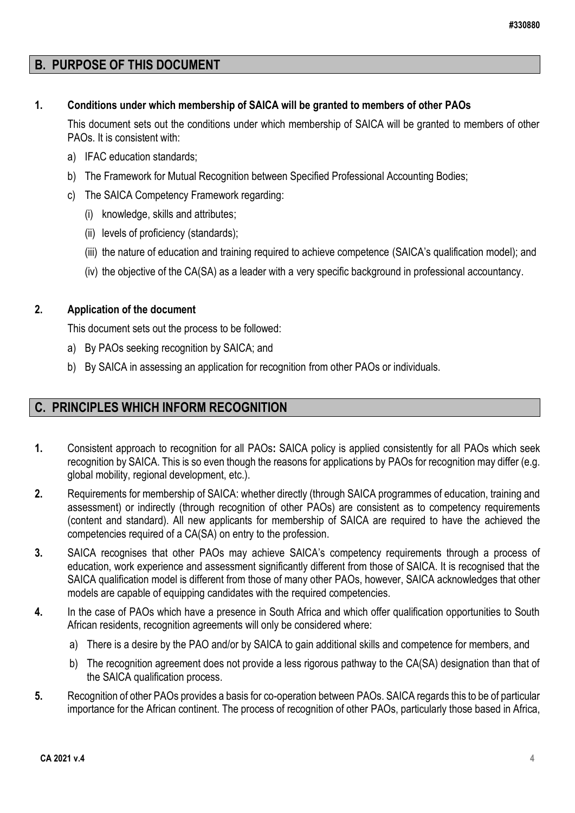### <span id="page-3-0"></span>**B. PURPOSE OF THIS DOCUMENT**

### **1. Conditions under which membership of SAICA will be granted to members of other PAOs**

This document sets out the conditions under which membership of SAICA will be granted to members of other PAOs. It is consistent with:

- a) IFAC education standards;
- b) The Framework for Mutual Recognition between Specified Professional Accounting Bodies;
- c) The SAICA Competency Framework regarding:
	- (i) knowledge, skills and attributes;
	- (ii) levels of proficiency (standards);
	- (iii) the nature of education and training required to achieve competence (SAICA's qualification model); and
	- (iv) the objective of the CA(SA) as a leader with a very specific background in professional accountancy.

### **2. Application of the document**

This document sets out the process to be followed:

- a) By PAOs seeking recognition by SAICA; and
- b) By SAICA in assessing an application for recognition from other PAOs or individuals.

### <span id="page-3-1"></span>**C. PRINCIPLES WHICH INFORM RECOGNITION**

- **1.** Consistent approach to recognition for all PAOs**:** SAICA policy is applied consistently for all PAOs which seek recognition by SAICA. This is so even though the reasons for applications by PAOs for recognition may differ (e.g. global mobility, regional development, etc.).
- **2.** Requirements for membership of SAICA: whether directly (through SAICA programmes of education, training and assessment) or indirectly (through recognition of other PAOs) are consistent as to competency requirements (content and standard). All new applicants for membership of SAICA are required to have the achieved the competencies required of a CA(SA) on entry to the profession.
- **3.** SAICA recognises that other PAOs may achieve SAICA's competency requirements through a process of education, work experience and assessment significantly different from those of SAICA. It is recognised that the SAICA qualification model is different from those of many other PAOs, however, SAICA acknowledges that other models are capable of equipping candidates with the required competencies.
- **4.** In the case of PAOs which have a presence in South Africa and which offer qualification opportunities to South African residents, recognition agreements will only be considered where:
	- a) There is a desire by the PAO and/or by SAICA to gain additional skills and competence for members, and
	- b) The recognition agreement does not provide a less rigorous pathway to the CA(SA) designation than that of the SAICA qualification process.
- **5.** Recognition of other PAOs provides a basis for co-operation between PAOs. SAICA regards this to be of particular importance for the African continent. The process of recognition of other PAOs, particularly those based in Africa,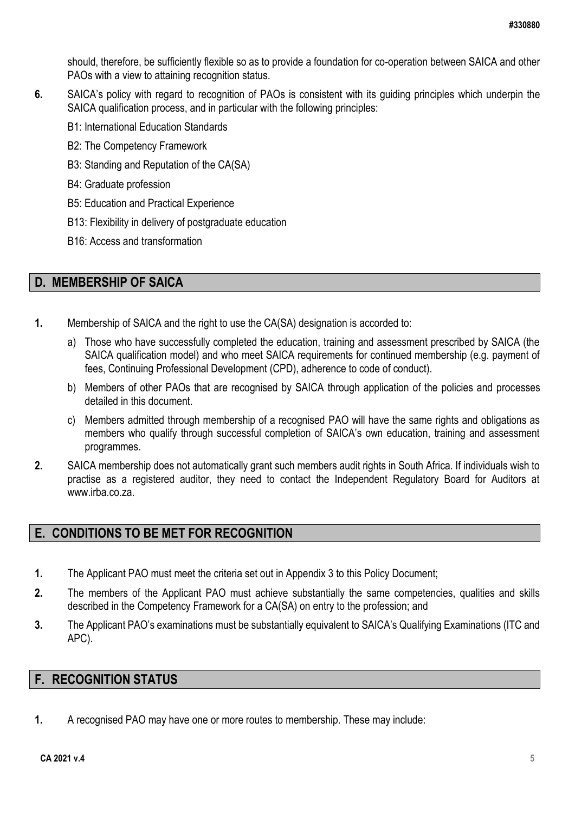should, therefore, be sufficiently flexible so as to provide a foundation for co-operation between SAICA and other PAOs with a view to attaining recognition status.

- **6.** SAICA's policy with regard to recognition of PAOs is consistent with its guiding principles which underpin the SAICA qualification process, and in particular with the following principles:
	- B1: International Education Standards
	- B2: The Competency Framework
	- B3: Standing and Reputation of the CA(SA)
	- B4: Graduate profession
	- B5: Education and Practical Experience
	- B13: Flexibility in delivery of postgraduate education
	- B16: Access and transformation

### <span id="page-4-0"></span>**D. MEMBERSHIP OF SAICA**

- **1.** Membership of SAICA and the right to use the CA(SA) designation is accorded to:
	- a) Those who have successfully completed the education, training and assessment prescribed by SAICA (the SAICA qualification model) and who meet SAICA requirements for continued membership (e.g. payment of fees, Continuing Professional Development (CPD), adherence to code of conduct).
	- b) Members of other PAOs that are recognised by SAICA through application of the policies and processes detailed in this document.
	- c) Members admitted through membership of a recognised PAO will have the same rights and obligations as members who qualify through successful completion of SAICA's own education, training and assessment programmes.
- **2.** SAICA membership does not automatically grant such members audit rights in South Africa. If individuals wish to practise as a registered auditor, they need to contact the Independent Regulatory Board for Auditors at [www.irba.co.za.](http://www.irba.co.za/)

### <span id="page-4-1"></span>**E. CONDITIONS TO BE MET FOR RECOGNITION**

- **1.** The Applicant PAO must meet the criteria set out in Appendix 3 to this Policy Document;
- **2.** The members of the Applicant PAO must achieve substantially the same competencies, qualities and skills described in the Competency Framework for a CA(SA) on entry to the profession; and
- **3.** The Applicant PAO's examinations must be substantially equivalent to SAICA's Qualifying Examinations (ITC and APC).

### **F. RECOGNITION STATUS**

**1.** A recognised PAO may have one or more routes to membership. These may include: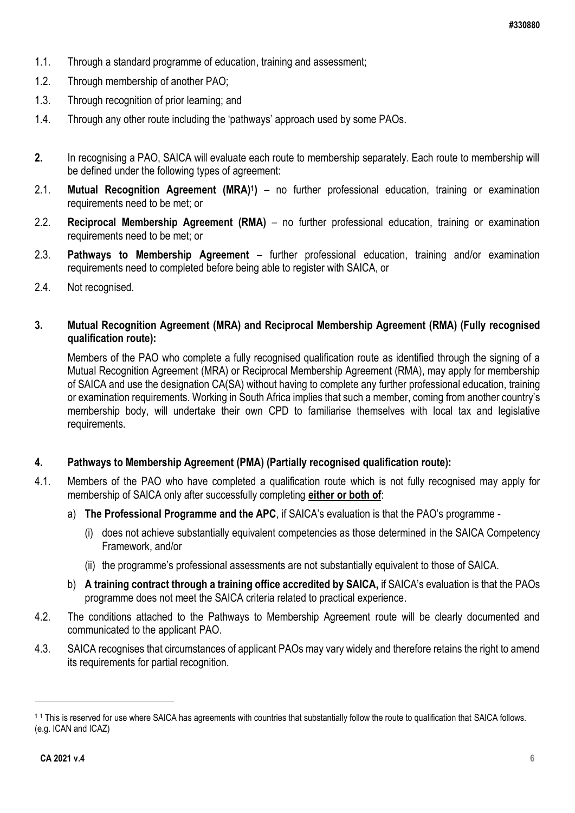- 1.1. Through a standard programme of education, training and assessment;
- 1.2. Through membership of another PAO;
- 1.3. Through recognition of prior learning; and
- 1.4. Through any other route including the 'pathways' approach used by some PAOs.
- **2.** In recognising a PAO, SAICA will evaluate each route to membership separately. Each route to membership will be defined under the following types of agreement:
- 2.1. **Mutual Recognition Agreement (MRA)<sup>1</sup> )** no further professional education, training or examination requirements need to be met; or
- 2.2. **Reciprocal Membership Agreement (RMA)** no further professional education, training or examination requirements need to be met; or
- 2.3. **Pathways to Membership Agreement** further professional education, training and/or examination requirements need to completed before being able to register with SAICA, or
- 2.4. Not recognised.

### **3. Mutual Recognition Agreement (MRA) and Reciprocal Membership Agreement (RMA) (Fully recognised qualification route):**

Members of the PAO who complete a fully recognised qualification route as identified through the signing of a Mutual Recognition Agreement (MRA) or Reciprocal Membership Agreement (RMA), may apply for membership of SAICA and use the designation CA(SA) without having to complete any further professional education, training or examination requirements. Working in South Africa implies that such a member, coming from another country's membership body, will undertake their own CPD to familiarise themselves with local tax and legislative requirements.

### **4. Pathways to Membership Agreement (PMA) (Partially recognised qualification route):**

- 4.1. Members of the PAO who have completed a qualification route which is not fully recognised may apply for membership of SAICA only after successfully completing **either or both of**:
	- a) **The Professional Programme and the APC**, if SAICA's evaluation is that the PAO's programme
		- (i) does not achieve substantially equivalent competencies as those determined in the SAICA Competency Framework, and/or
		- (ii) the programme's professional assessments are not substantially equivalent to those of SAICA.
	- b) **A training contract through a training office accredited by SAICA,** if SAICA's evaluation is that the PAOs programme does not meet the SAICA criteria related to practical experience.
- 4.2. The conditions attached to the Pathways to Membership Agreement route will be clearly documented and communicated to the applicant PAO.
- 4.3. SAICA recognises that circumstances of applicant PAOs may vary widely and therefore retains the right to amend its requirements for partial recognition.

1

<sup>&</sup>lt;sup>11</sup> This is reserved for use where SAICA has agreements with countries that substantially follow the route to qualification that SAICA follows. (e.g. ICAN and ICAZ)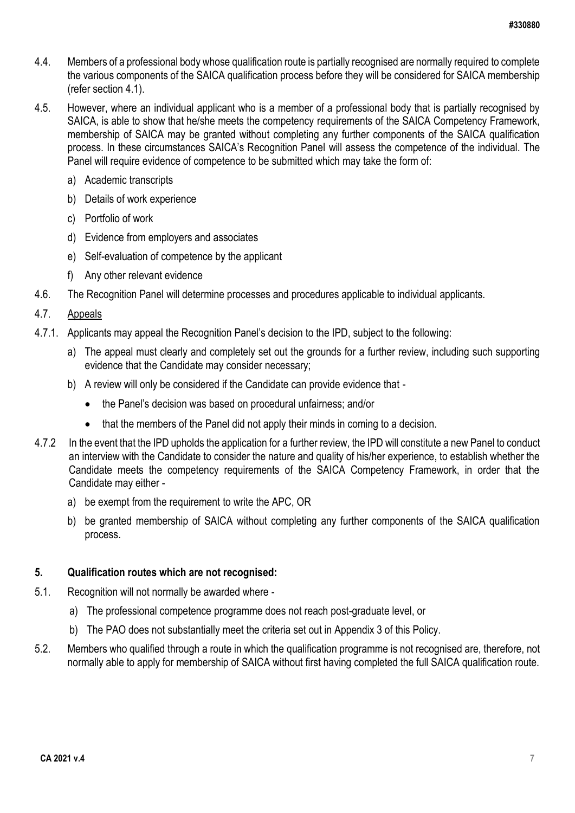- 4.4. Members of a professional body whose qualification route is partially recognised are normally required to complete the various components of the SAICA qualification process before they will be considered for SAICA membership (refer section 4.1).
- 4.5. However, where an individual applicant who is a member of a professional body that is partially recognised by SAICA, is able to show that he/she meets the competency requirements of the SAICA Competency Framework, membership of SAICA may be granted without completing any further components of the SAICA qualification process. In these circumstances SAICA's Recognition Panel will assess the competence of the individual. The Panel will require evidence of competence to be submitted which may take the form of:
	- a) Academic transcripts
	- b) Details of work experience
	- c) Portfolio of work
	- d) Evidence from employers and associates
	- e) Self-evaluation of competence by the applicant
	- f) Any other relevant evidence
- 4.6. The Recognition Panel will determine processes and procedures applicable to individual applicants.

### 4.7. Appeals

- 4.7.1. Applicants may appeal the Recognition Panel's decision to the IPD, subject to the following:
	- a) The appeal must clearly and completely set out the grounds for a further review, including such supporting evidence that the Candidate may consider necessary;
	- b) A review will only be considered if the Candidate can provide evidence that
		- the Panel's decision was based on procedural unfairness; and/or
		- that the members of the Panel did not apply their minds in coming to a decision.
- 4.7.2 In the event that the IPD upholds the application for a further review, the IPD will constitute a new Panel to conduct an interview with the Candidate to consider the nature and quality of his/her experience, to establish whether the Candidate meets the competency requirements of the SAICA Competency Framework, in order that the Candidate may either
	- a) be exempt from the requirement to write the APC, OR
	- b) be granted membership of SAICA without completing any further components of the SAICA qualification process.

#### **5. Qualification routes which are not recognised:**

- 5.1. Recognition will not normally be awarded where
	- a) The professional competence programme does not reach post-graduate level, or
	- b) The PAO does not substantially meet the criteria set out in Appendix 3 of this Policy.
- <span id="page-6-0"></span>5.2. Members who qualified through a route in which the qualification programme is not recognised are, therefore, not normally able to apply for membership of SAICA without first having completed the full SAICA qualification route.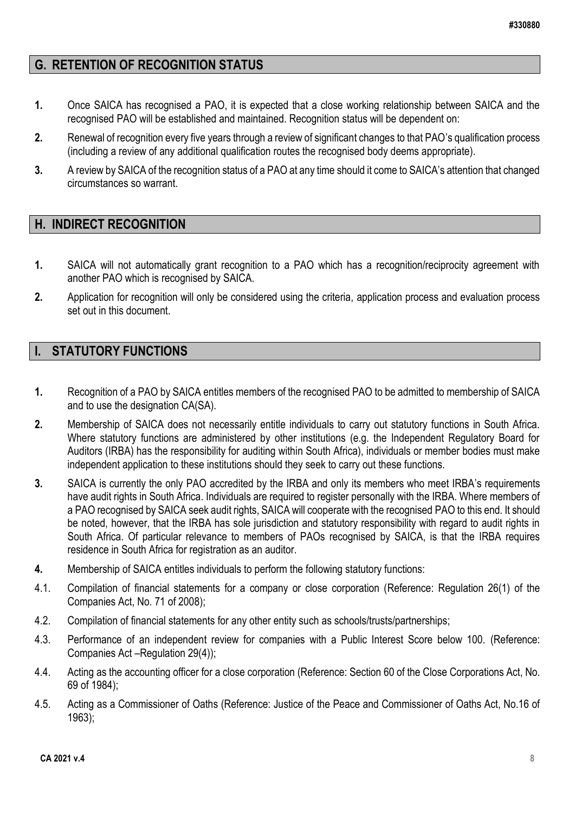### **G. RETENTION OF RECOGNITION STATUS**

- **1.** Once SAICA has recognised a PAO, it is expected that a close working relationship between SAICA and the recognised PAO will be established and maintained. Recognition status will be dependent on:
- **2.** Renewal of recognition every five years through a review of significant changes to that PAO's qualification process (including a review of any additional qualification routes the recognised body deems appropriate).
- **3.** A review by SAICA of the recognition status of a PAO at any time should it come to SAICA's attention that changed circumstances so warrant.

### <span id="page-7-0"></span>**H. INDIRECT RECOGNITION**

- **1.** SAICA will not automatically grant recognition to a PAO which has a recognition/reciprocity agreement with another PAO which is recognised by SAICA.
- **2.** Application for recognition will only be considered using the criteria, application process and evaluation process set out in this document.

### <span id="page-7-1"></span>**I. STATUTORY FUNCTIONS**

- **1.** Recognition of a PAO by SAICA entitles members of the recognised PAO to be admitted to membership of SAICA and to use the designation CA(SA).
- **2.** Membership of SAICA does not necessarily entitle individuals to carry out statutory functions in South Africa. Where statutory functions are administered by other institutions (e.g. the Independent Regulatory Board for Auditors (IRBA) has the responsibility for auditing within South Africa), individuals or member bodies must make independent application to these institutions should they seek to carry out these functions.
- **3.** SAICA is currently the only PAO accredited by the IRBA and only its members who meet IRBA's requirements have audit rights in South Africa. Individuals are required to register personally with the IRBA. Where members of a PAO recognised by SAICA seek audit rights, SAICA will cooperate with the recognised PAO to this end. It should be noted, however, that the IRBA has sole jurisdiction and statutory responsibility with regard to audit rights in South Africa. Of particular relevance to members of PAOs recognised by SAICA, is that the IRBA requires residence in South Africa for registration as an auditor.
- **4.** Membership of SAICA entitles individuals to perform the following statutory functions:
- 4.1. Compilation of financial statements for a company or close corporation (Reference: Regulation 26(1) of the Companies Act, No. 71 of 2008);
- 4.2. Compilation of financial statements for any other entity such as schools/trusts/partnerships;
- 4.3. Performance of an independent review for companies with a Public Interest Score below 100. (Reference: Companies Act –Regulation 29(4));
- 4.4. Acting as the accounting officer for a close corporation (Reference: Section 60 of the Close Corporations Act, No. 69 of 1984);
- 4.5. Acting as a Commissioner of Oaths (Reference: Justice of the Peace and Commissioner of Oaths Act, No.16 of 1963);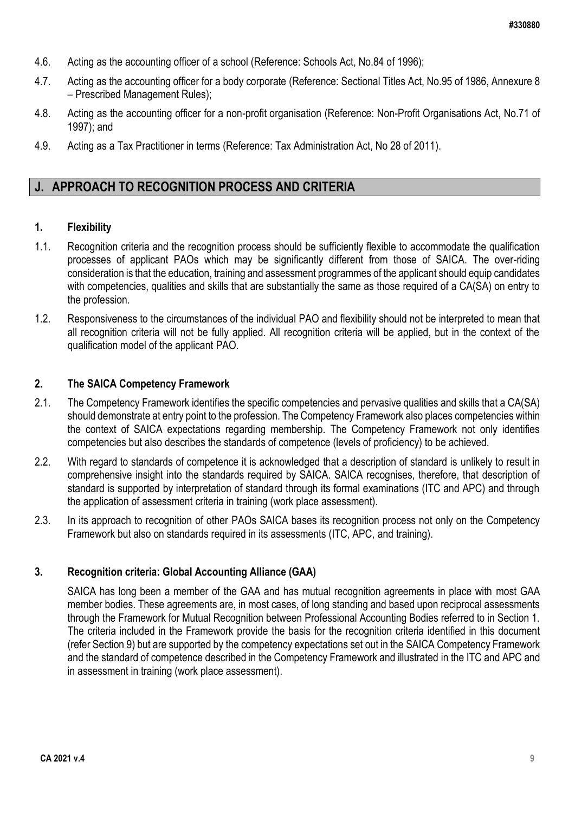- 4.6. Acting as the accounting officer of a school (Reference: Schools Act, No.84 of 1996);
- 4.7. Acting as the accounting officer for a body corporate (Reference: Sectional Titles Act, No.95 of 1986, Annexure 8 – Prescribed Management Rules);
- 4.8. Acting as the accounting officer for a non-profit organisation (Reference: Non-Profit Organisations Act, No.71 of 1997); and
- 4.9. Acting as a Tax Practitioner in terms (Reference: Tax Administration Act, No 28 of 2011).

### <span id="page-8-0"></span>**J. APPROACH TO RECOGNITION PROCESS AND CRITERIA**

#### **1. Flexibility**

- 1.1. Recognition criteria and the recognition process should be sufficiently flexible to accommodate the qualification processes of applicant PAOs which may be significantly different from those of SAICA. The over-riding consideration is that the education, training and assessment programmes of the applicant should equip candidates with competencies, qualities and skills that are substantially the same as those required of a CA(SA) on entry to the profession.
- 1.2. Responsiveness to the circumstances of the individual PAO and flexibility should not be interpreted to mean that all recognition criteria will not be fully applied. All recognition criteria will be applied, but in the context of the qualification model of the applicant PAO.

### **2. The SAICA Competency Framework**

- 2.1. The Competency Framework identifies the specific competencies and pervasive qualities and skills that a CA(SA) should demonstrate at entry point to the profession. The Competency Framework also places competencies within the context of SAICA expectations regarding membership. The Competency Framework not only identifies competencies but also describes the standards of competence (levels of proficiency) to be achieved.
- 2.2. With regard to standards of competence it is acknowledged that a description of standard is unlikely to result in comprehensive insight into the standards required by SAICA. SAICA recognises, therefore, that description of standard is supported by interpretation of standard through its formal examinations (ITC and APC) and through the application of assessment criteria in training (work place assessment).
- 2.3. In its approach to recognition of other PAOs SAICA bases its recognition process not only on the Competency Framework but also on standards required in its assessments (ITC, APC, and training).

#### **3. Recognition criteria: Global Accounting Alliance (GAA)**

SAICA has long been a member of the GAA and has mutual recognition agreements in place with most GAA member bodies. These agreements are, in most cases, of long standing and based upon reciprocal assessments through the Framework for Mutual Recognition between Professional Accounting Bodies referred to in Section 1. The criteria included in the Framework provide the basis for the recognition criteria identified in this document (refer Section 9) but are supported by the competency expectations set out in the SAICA Competency Framework and the standard of competence described in the Competency Framework and illustrated in the ITC and APC and in assessment in training (work place assessment).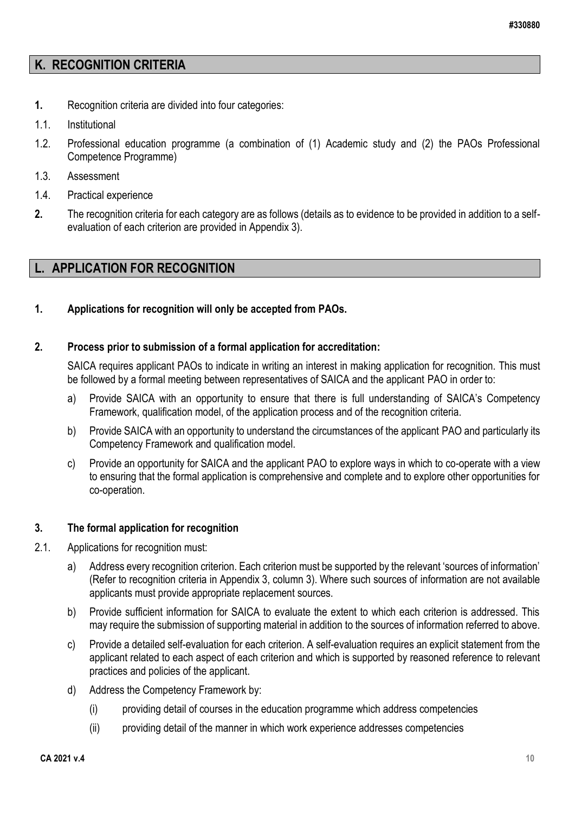### **K. RECOGNITION CRITERIA**

- **1.** Recognition criteria are divided into four categories:
- 1.1. Institutional
- 1.2. Professional education programme (a combination of (1) Academic study and (2) the PAOs Professional Competence Programme)
- 1.3. Assessment
- 1.4. Practical experience
- **2.** The recognition criteria for each category are as follows (details as to evidence to be provided in addition to a selfevaluation of each criterion are provided in Appendix 3).

### <span id="page-9-0"></span>**L. APPLICATION FOR RECOGNITION**

### **1. Applications for recognition will only be accepted from PAOs.**

### **2. Process prior to submission of a formal application for accreditation:**

SAICA requires applicant PAOs to indicate in writing an interest in making application for recognition. This must be followed by a formal meeting between representatives of SAICA and the applicant PAO in order to:

- a) Provide SAICA with an opportunity to ensure that there is full understanding of SAICA's Competency Framework, qualification model, of the application process and of the recognition criteria.
- b) Provide SAICA with an opportunity to understand the circumstances of the applicant PAO and particularly its Competency Framework and qualification model.
- c) Provide an opportunity for SAICA and the applicant PAO to explore ways in which to co-operate with a view to ensuring that the formal application is comprehensive and complete and to explore other opportunities for co-operation.

### **3. The formal application for recognition**

- 2.1. Applications for recognition must:
	- a) Address every recognition criterion. Each criterion must be supported by the relevant 'sources of information' (Refer to recognition criteria in Appendix 3, column 3). Where such sources of information are not available applicants must provide appropriate replacement sources.
	- b) Provide sufficient information for SAICA to evaluate the extent to which each criterion is addressed. This may require the submission of supporting material in addition to the sources of information referred to above.
	- c) Provide a detailed self-evaluation for each criterion. A self-evaluation requires an explicit statement from the applicant related to each aspect of each criterion and which is supported by reasoned reference to relevant practices and policies of the applicant.
	- d) Address the Competency Framework by:
		- (i) providing detail of courses in the education programme which address competencies
		- (ii) providing detail of the manner in which work experience addresses competencies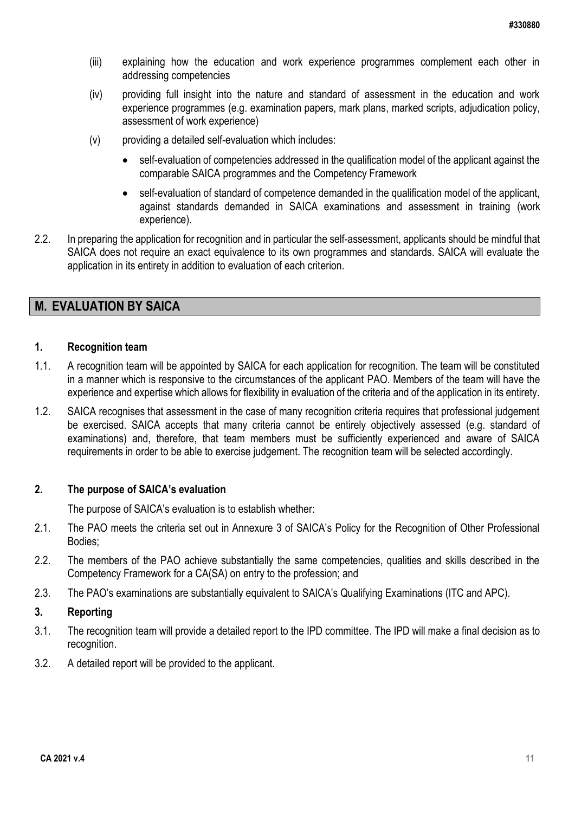- (iii) explaining how the education and work experience programmes complement each other in addressing competencies
- (iv) providing full insight into the nature and standard of assessment in the education and work experience programmes (e.g. examination papers, mark plans, marked scripts, adjudication policy, assessment of work experience)
- (v) providing a detailed self-evaluation which includes:
	- self-evaluation of competencies addressed in the qualification model of the applicant against the comparable SAICA programmes and the Competency Framework
	- self-evaluation of standard of competence demanded in the qualification model of the applicant, against standards demanded in SAICA examinations and assessment in training (work experience).
- 2.2. In preparing the application for recognition and in particular the self-assessment, applicants should be mindful that SAICA does not require an exact equivalence to its own programmes and standards. SAICA will evaluate the application in its entirety in addition to evaluation of each criterion.

### <span id="page-10-0"></span>**M. EVALUATION BY SAICA**

#### **1. Recognition team**

- 1.1. A recognition team will be appointed by SAICA for each application for recognition. The team will be constituted in a manner which is responsive to the circumstances of the applicant PAO. Members of the team will have the experience and expertise which allows for flexibility in evaluation of the criteria and of the application in its entirety.
- 1.2. SAICA recognises that assessment in the case of many recognition criteria requires that professional judgement be exercised. SAICA accepts that many criteria cannot be entirely objectively assessed (e.g. standard of examinations) and, therefore, that team members must be sufficiently experienced and aware of SAICA requirements in order to be able to exercise judgement. The recognition team will be selected accordingly.

### **2. The purpose of SAICA's evaluation**

The purpose of SAICA's evaluation is to establish whether:

- 2.1. The PAO meets the criteria set out in Annexure 3 of SAICA's Policy for the Recognition of Other Professional Bodies;
- 2.2. The members of the PAO achieve substantially the same competencies, qualities and skills described in the Competency Framework for a CA(SA) on entry to the profession; and
- 2.3. The PAO's examinations are substantially equivalent to SAICA's Qualifying Examinations (ITC and APC).

### **3. Reporting**

- 3.1. The recognition team will provide a detailed report to the IPD committee. The IPD will make a final decision as to recognition.
- 3.2. A detailed report will be provided to the applicant.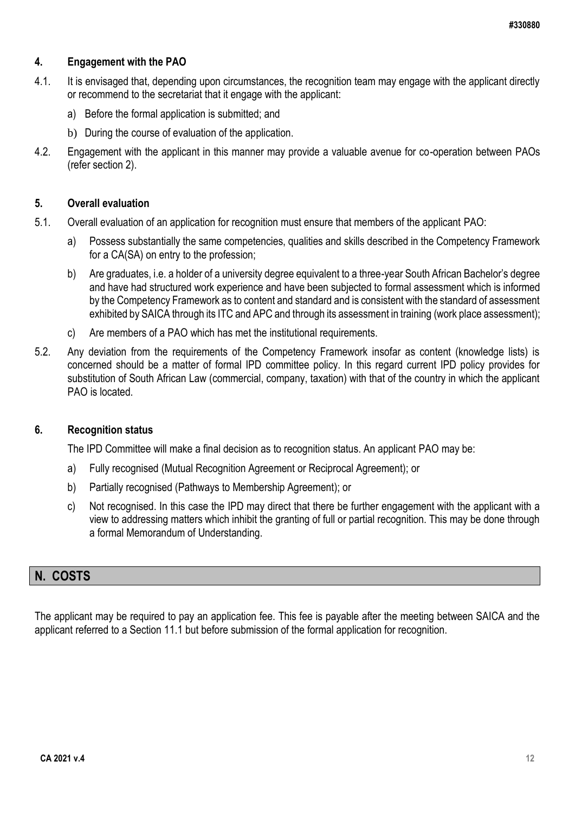### **4. Engagement with the PAO**

- 4.1. It is envisaged that, depending upon circumstances, the recognition team may engage with the applicant directly or recommend to the secretariat that it engage with the applicant:
	- a) Before the formal application is submitted; and
	- b) During the course of evaluation of the application.
- 4.2. Engagement with the applicant in this manner may provide a valuable avenue for co-operation between PAOs (refer section 2).

### **5. Overall evaluation**

- 5.1. Overall evaluation of an application for recognition must ensure that members of the applicant PAO:
	- a) Possess substantially the same competencies, qualities and skills described in the Competency Framework for a CA(SA) on entry to the profession;
	- b) Are graduates, i.e. a holder of a university degree equivalent to a three-year South African Bachelor's degree and have had structured work experience and have been subjected to formal assessment which is informed by the Competency Framework as to content and standard and is consistent with the standard of assessment exhibited by SAICA through its ITC and APC and through its assessment in training (work place assessment);
	- c) Are members of a PAO which has met the institutional requirements.
- 5.2. Any deviation from the requirements of the Competency Framework insofar as content (knowledge lists) is concerned should be a matter of formal IPD committee policy. In this regard current IPD policy provides for substitution of South African Law (commercial, company, taxation) with that of the country in which the applicant PAO is located.

#### <span id="page-11-0"></span>**6. Recognition status**

The IPD Committee will make a final decision as to recognition status. An applicant PAO may be:

- a) Fully recognised (Mutual Recognition Agreement or Reciprocal Agreement); or
- b) Partially recognised (Pathways to Membership Agreement); or
- c) Not recognised. In this case the IPD may direct that there be further engagement with the applicant with a view to addressing matters which inhibit the granting of full or partial recognition. This may be done through a formal Memorandum of Understanding.

### <span id="page-11-1"></span>**N. COSTS**

The applicant may be required to pay an application fee. This fee is payable after the meeting between SAICA and the applicant referred to a Section 11.1 but before submission of the formal application for recognition.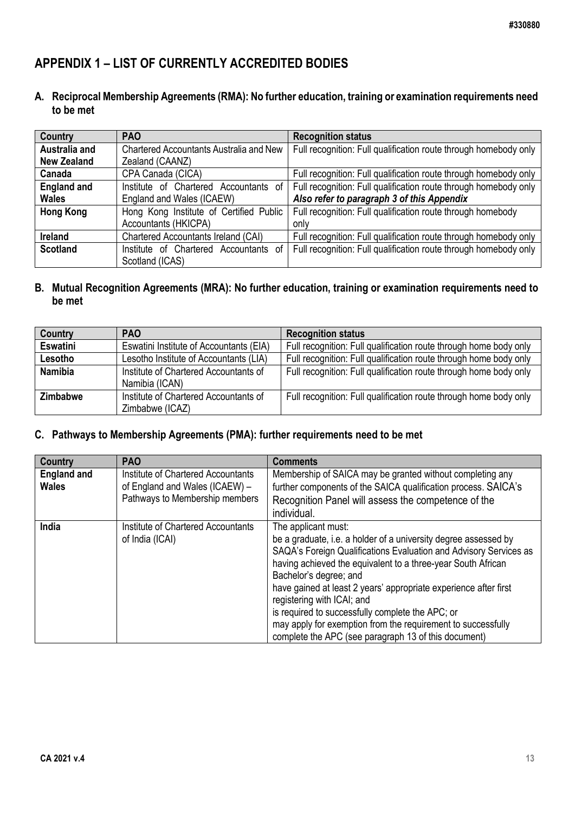## <span id="page-12-0"></span>**APPENDIX 1 – LIST OF CURRENTLY ACCREDITED BODIES**

**A. Reciprocal Membership Agreements (RMA): No further education, training or examination requirements need to be met**

| Country            | <b>PAO</b>                                     | <b>Recognition status</b>                                        |
|--------------------|------------------------------------------------|------------------------------------------------------------------|
| Australia and      | <b>Chartered Accountants Australia and New</b> | Full recognition: Full qualification route through homebody only |
| <b>New Zealand</b> | Zealand (CAANZ)                                |                                                                  |
| Canada             | CPA Canada (CICA)                              | Full recognition: Full qualification route through homebody only |
| <b>England and</b> | Institute of Chartered Accountants of          | Full recognition: Full qualification route through homebody only |
| <b>Wales</b>       | England and Wales (ICAEW)                      | Also refer to paragraph 3 of this Appendix                       |
| <b>Hong Kong</b>   | Hong Kong Institute of Certified Public        | Full recognition: Full qualification route through homebody      |
|                    | Accountants (HKICPA)                           | only                                                             |
| <b>Ireland</b>     | Chartered Accountants Ireland (CAI)            | Full recognition: Full qualification route through homebody only |
| <b>Scotland</b>    | Institute of Chartered<br>Accountants of       | Full recognition: Full qualification route through homebody only |
|                    | Scotland (ICAS)                                |                                                                  |

### **B. Mutual Recognition Agreements (MRA): No further education, training or examination requirements need to be met**

| Country         | <b>PAO</b>                                               | <b>Recognition status</b>                                         |
|-----------------|----------------------------------------------------------|-------------------------------------------------------------------|
| <b>Eswatini</b> | Eswatini Institute of Accountants (EIA)                  | Full recognition: Full qualification route through home body only |
| Lesotho         | Lesotho Institute of Accountants (LIA)                   | Full recognition: Full qualification route through home body only |
| <b>Namibia</b>  | Institute of Chartered Accountants of<br>Namibia (ICAN)  | Full recognition: Full qualification route through home body only |
| <b>Zimbabwe</b> | Institute of Chartered Accountants of<br>Zimbabwe (ICAZ) | Full recognition: Full qualification route through home body only |

### **C. Pathways to Membership Agreements (PMA): further requirements need to be met**

| Country                            | <b>PAO</b>                                                                                             | <b>Comments</b>                                                                                                                                                                                                                                                                                                                                                                                                                                                                                                                     |
|------------------------------------|--------------------------------------------------------------------------------------------------------|-------------------------------------------------------------------------------------------------------------------------------------------------------------------------------------------------------------------------------------------------------------------------------------------------------------------------------------------------------------------------------------------------------------------------------------------------------------------------------------------------------------------------------------|
| <b>England and</b><br><b>Wales</b> | Institute of Chartered Accountants<br>of England and Wales (ICAEW) -<br>Pathways to Membership members | Membership of SAICA may be granted without completing any<br>further components of the SAICA qualification process. SAICA's<br>Recognition Panel will assess the competence of the<br>individual.                                                                                                                                                                                                                                                                                                                                   |
| India                              | Institute of Chartered Accountants<br>of India (ICAI)                                                  | The applicant must:<br>be a graduate, i.e. a holder of a university degree assessed by<br>SAQA's Foreign Qualifications Evaluation and Advisory Services as<br>having achieved the equivalent to a three-year South African<br>Bachelor's degree; and<br>have gained at least 2 years' appropriate experience after first<br>registering with ICAI; and<br>is required to successfully complete the APC; or<br>may apply for exemption from the requirement to successfully<br>complete the APC (see paragraph 13 of this document) |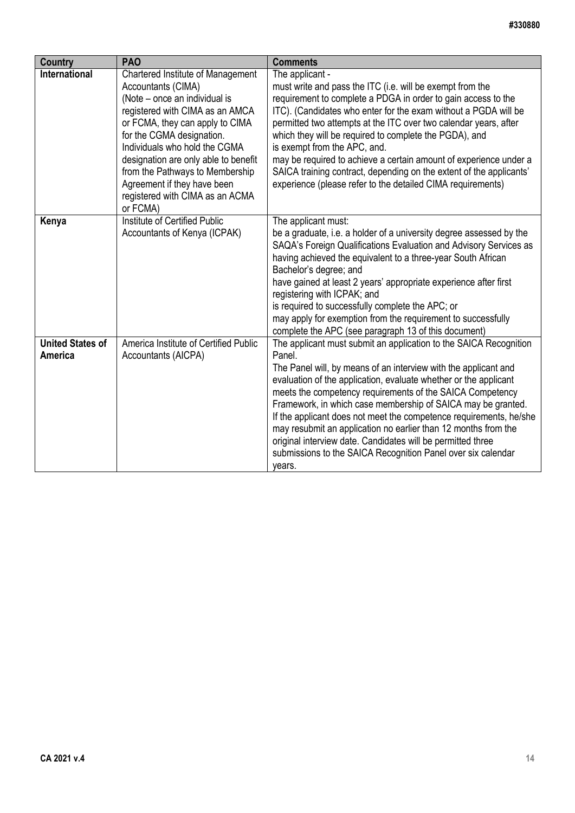| <b>Country</b>                     | <b>PAO</b>                                                                                                                                                                                                                                                                                                                                                                            | <b>Comments</b>                                                                                                                                                                                                                                                                                                                                                                                                                                                                                                                                                                                                                  |
|------------------------------------|---------------------------------------------------------------------------------------------------------------------------------------------------------------------------------------------------------------------------------------------------------------------------------------------------------------------------------------------------------------------------------------|----------------------------------------------------------------------------------------------------------------------------------------------------------------------------------------------------------------------------------------------------------------------------------------------------------------------------------------------------------------------------------------------------------------------------------------------------------------------------------------------------------------------------------------------------------------------------------------------------------------------------------|
| <b>International</b>               | Chartered Institute of Management<br>Accountants (CIMA)<br>(Note – once an individual is<br>registered with CIMA as an AMCA<br>or FCMA, they can apply to CIMA<br>for the CGMA designation.<br>Individuals who hold the CGMA<br>designation are only able to benefit<br>from the Pathways to Membership<br>Agreement if they have been<br>registered with CIMA as an ACMA<br>or FCMA) | The applicant -<br>must write and pass the ITC (i.e. will be exempt from the<br>requirement to complete a PDGA in order to gain access to the<br>ITC). (Candidates who enter for the exam without a PGDA will be<br>permitted two attempts at the ITC over two calendar years, after<br>which they will be required to complete the PGDA), and<br>is exempt from the APC, and.<br>may be required to achieve a certain amount of experience under a<br>SAICA training contract, depending on the extent of the applicants'<br>experience (please refer to the detailed CIMA requirements)                                        |
| Kenya                              | Institute of Certified Public<br>Accountants of Kenya (ICPAK)                                                                                                                                                                                                                                                                                                                         | The applicant must:<br>be a graduate, i.e. a holder of a university degree assessed by the<br>SAQA's Foreign Qualifications Evaluation and Advisory Services as<br>having achieved the equivalent to a three-year South African<br>Bachelor's degree; and<br>have gained at least 2 years' appropriate experience after first<br>registering with ICPAK; and<br>is required to successfully complete the APC; or<br>may apply for exemption from the requirement to successfully<br>complete the APC (see paragraph 13 of this document)                                                                                         |
| <b>United States of</b><br>America | America Institute of Certified Public<br>Accountants (AICPA)                                                                                                                                                                                                                                                                                                                          | The applicant must submit an application to the SAICA Recognition<br>Panel.<br>The Panel will, by means of an interview with the applicant and<br>evaluation of the application, evaluate whether or the applicant<br>meets the competency requirements of the SAICA Competency<br>Framework, in which case membership of SAICA may be granted.<br>If the applicant does not meet the competence requirements, he/she<br>may resubmit an application no earlier than 12 months from the<br>original interview date. Candidates will be permitted three<br>submissions to the SAICA Recognition Panel over six calendar<br>years. |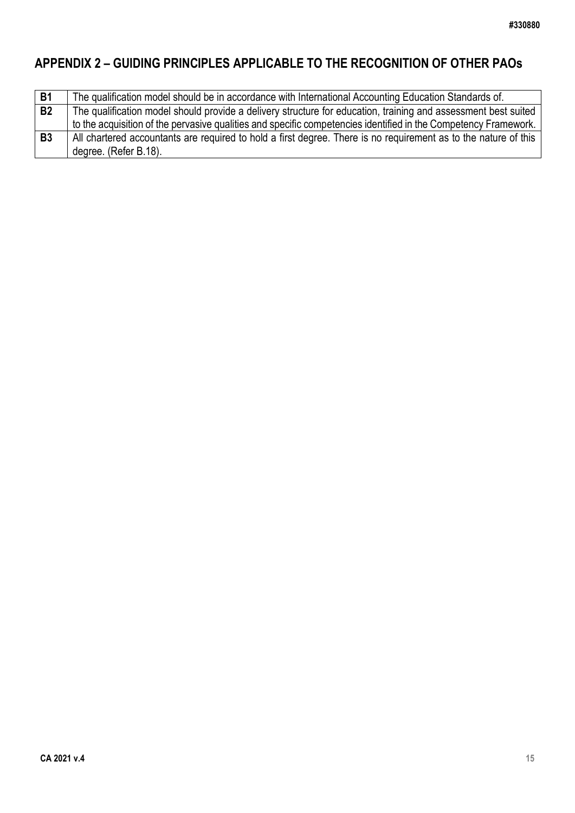# <span id="page-14-0"></span>**APPENDIX 2 – GUIDING PRINCIPLES APPLICABLE TO THE RECOGNITION OF OTHER PAOs**

| <b>B1</b> | The qualification model should be in accordance with International Accounting Education Standards of.           |
|-----------|-----------------------------------------------------------------------------------------------------------------|
|           |                                                                                                                 |
| <b>B2</b> | The qualification model should provide a delivery structure for education, training and assessment best suited  |
|           | to the acquisition of the pervasive qualities and specific competencies identified in the Competency Framework. |
| <b>B3</b> | All chartered accountants are required to hold a first degree. There is no requirement as to the nature of this |
|           | degree. (Refer B.18).                                                                                           |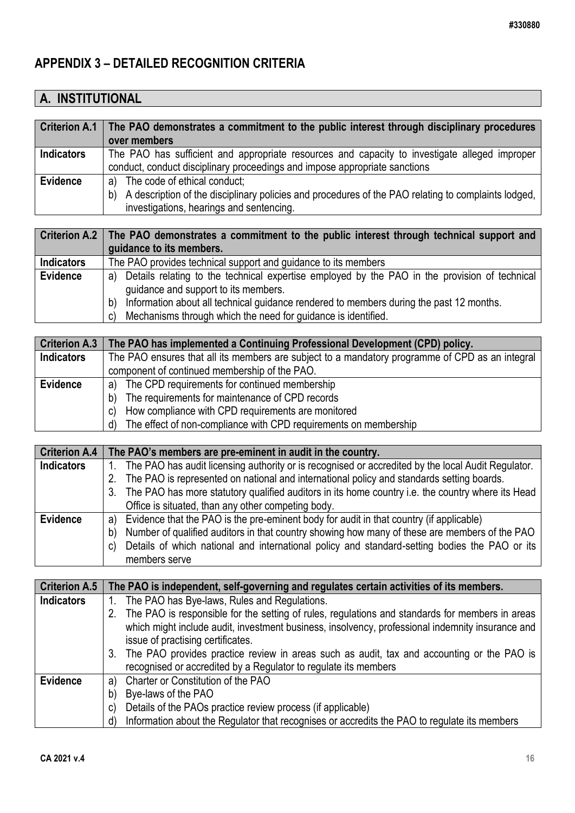# <span id="page-15-0"></span>**APPENDIX 3 – DETAILED RECOGNITION CRITERIA**

# **A. INSTITUTIONAL**

|                   | Criterion A.1   The PAO demonstrates a commitment to the public interest through disciplinary procedures<br>over members                              |
|-------------------|-------------------------------------------------------------------------------------------------------------------------------------------------------|
| <b>Indicators</b> | The PAO has sufficient and appropriate resources and capacity to investigate alleged improper                                                         |
|                   | conduct, conduct disciplinary proceedings and impose appropriate sanctions                                                                            |
| <b>Evidence</b>   | a) The code of ethical conduct;                                                                                                                       |
|                   | A description of the disciplinary policies and procedures of the PAO relating to complaints lodged,<br>b)<br>investigations, hearings and sentencing. |

|                   | Criterion A.2   The PAO demonstrates a commitment to the public interest through technical support and |
|-------------------|--------------------------------------------------------------------------------------------------------|
|                   | guidance to its members.                                                                               |
| <b>Indicators</b> | The PAO provides technical support and guidance to its members                                         |
| <b>Evidence</b>   | a) Details relating to the technical expertise employed by the PAO in the provision of technical       |
|                   | guidance and support to its members.                                                                   |
|                   | Information about all technical guidance rendered to members during the past 12 months.<br>b)          |
|                   | Mechanisms through which the need for guidance is identified.<br>C)                                    |

|                   | Criterion A.3   The PAO has implemented a Continuing Professional Development (CPD) policy.     |  |
|-------------------|-------------------------------------------------------------------------------------------------|--|
| <b>Indicators</b> | The PAO ensures that all its members are subject to a mandatory programme of CPD as an integral |  |
|                   | component of continued membership of the PAO.                                                   |  |
| <b>Evidence</b>   | a) The CPD requirements for continued membership                                                |  |
|                   | b) The requirements for maintenance of CPD records                                              |  |
|                   | How compliance with CPD requirements are monitored<br>C)                                        |  |
|                   | The effect of non-compliance with CPD requirements on membership<br>d)                          |  |

| <b>Criterion A.4</b> | The PAO's members are pre-eminent in audit in the country.                                            |
|----------------------|-------------------------------------------------------------------------------------------------------|
| <b>Indicators</b>    | 1. The PAO has audit licensing authority or is recognised or accredited by the local Audit Regulator. |
|                      | 2. The PAO is represented on national and international policy and standards setting boards.          |
|                      | 3. The PAO has more statutory qualified auditors in its home country i.e. the country where its Head  |
|                      | Office is situated, than any other competing body.                                                    |
| <b>Evidence</b>      | a) Evidence that the PAO is the pre-eminent body for audit in that country (if applicable)            |
|                      | Number of qualified auditors in that country showing how many of these are members of the PAO<br>b)   |
|                      | Details of which national and international policy and standard-setting bodies the PAO or its<br>C)   |
|                      | members serve                                                                                         |

| <b>Criterion A.5</b> | The PAO is independent, self-governing and regulates certain activities of its members.            |
|----------------------|----------------------------------------------------------------------------------------------------|
| <b>Indicators</b>    | 1. The PAO has Bye-laws, Rules and Regulations.                                                    |
|                      | 2. The PAO is responsible for the setting of rules, regulations and standards for members in areas |
|                      | which might include audit, investment business, insolvency, professional indemnity insurance and   |
|                      | issue of practising certificates.                                                                  |
|                      | 3. The PAO provides practice review in areas such as audit, tax and accounting or the PAO is       |
|                      | recognised or accredited by a Regulator to regulate its members                                    |
| <b>Evidence</b>      | Charter or Constitution of the PAO<br>a)                                                           |
|                      | Bye-laws of the PAO<br>b)                                                                          |
|                      | Details of the PAOs practice review process (if applicable)<br>C)                                  |
|                      | Information about the Regulator that recognises or accredits the PAO to regulate its members<br>d) |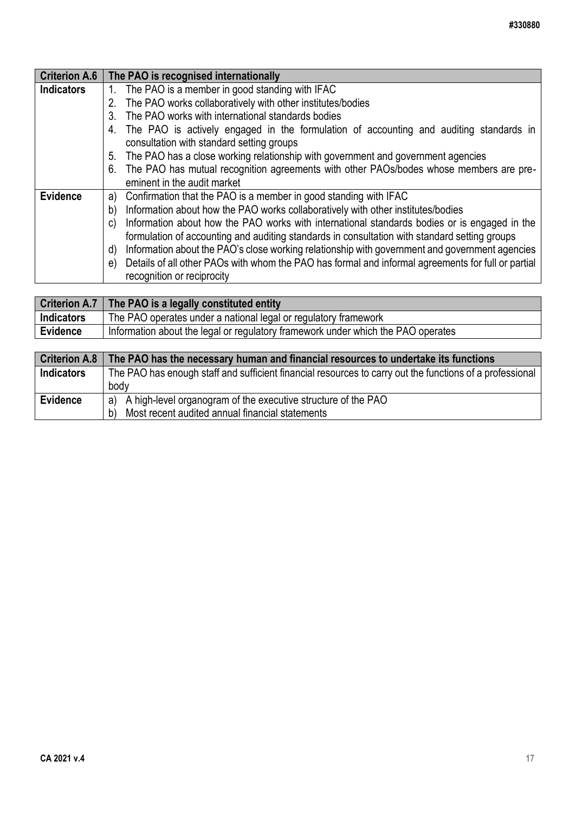| <b>Criterion A.6</b> | The PAO is recognised internationally                                                                                                  |
|----------------------|----------------------------------------------------------------------------------------------------------------------------------------|
| <b>Indicators</b>    | The PAO is a member in good standing with IFAC                                                                                         |
|                      | 2. The PAO works collaboratively with other institutes/bodies                                                                          |
|                      | 3. The PAO works with international standards bodies                                                                                   |
|                      | 4. The PAO is actively engaged in the formulation of accounting and auditing standards in<br>consultation with standard setting groups |
|                      | 5. The PAO has a close working relationship with government and government agencies                                                    |
|                      |                                                                                                                                        |
|                      | 6. The PAO has mutual recognition agreements with other PAOs/bodes whose members are pre-                                              |
|                      | eminent in the audit market                                                                                                            |
| <b>Evidence</b>      | Confirmation that the PAO is a member in good standing with IFAC<br>a)                                                                 |
|                      | Information about how the PAO works collaboratively with other institutes/bodies<br>b)                                                 |
|                      | c) Information about how the PAO works with international standards bodies or is engaged in the                                        |
|                      | formulation of accounting and auditing standards in consultation with standard setting groups                                          |
|                      | Information about the PAO's close working relationship with government and government agencies<br>d)                                   |
|                      | e) Details of all other PAOs with whom the PAO has formal and informal agreements for full or partial                                  |
|                      | recognition or reciprocity                                                                                                             |
|                      |                                                                                                                                        |

|                   | Criterion A.7   The PAO is a legally constituted entity                          |
|-------------------|----------------------------------------------------------------------------------|
| <b>Indicators</b> | The PAO operates under a national legal or regulatory framework                  |
| <b>Evidence</b>   | Information about the legal or regulatory framework under which the PAO operates |

| <b>Criterion A.8</b> | The PAO has the necessary human and financial resources to undertake its functions                       |
|----------------------|----------------------------------------------------------------------------------------------------------|
| <b>Indicators</b>    | The PAO has enough staff and sufficient financial resources to carry out the functions of a professional |
|                      | body                                                                                                     |
| <b>Evidence</b>      | a) A high-level organogram of the executive structure of the PAO                                         |
|                      | b) Most recent audited annual financial statements                                                       |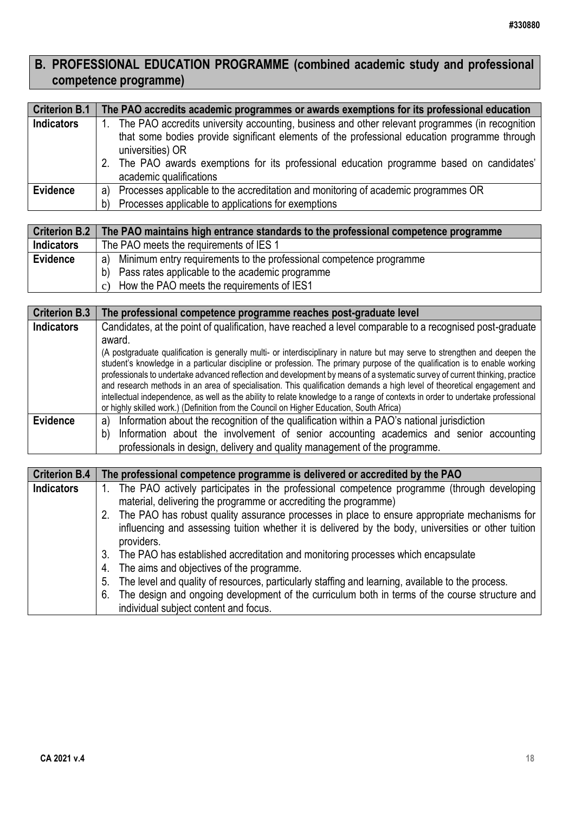# **B. PROFESSIONAL EDUCATION PROGRAMME (combined academic study and professional competence programme)**

| <b>Criterion B.1</b> | The PAO accredits academic programmes or awards exemptions for its professional education                                                                                                                                                                                                                                                        |
|----------------------|--------------------------------------------------------------------------------------------------------------------------------------------------------------------------------------------------------------------------------------------------------------------------------------------------------------------------------------------------|
| <b>Indicators</b>    | 1. The PAO accredits university accounting, business and other relevant programmes (in recognition<br>that some bodies provide significant elements of the professional education programme through<br>universities) OR<br>2. The PAO awards exemptions for its professional education programme based on candidates'<br>academic qualifications |
| Evidence             | Processes applicable to the accreditation and monitoring of academic programmes OR<br>a)                                                                                                                                                                                                                                                         |
|                      | Processes applicable to applications for exemptions<br>b)                                                                                                                                                                                                                                                                                        |

| <b>Criterion B.2</b> | The PAO maintains high entrance standards to the professional competence programme |
|----------------------|------------------------------------------------------------------------------------|
| <b>Indicators</b>    | The PAO meets the requirements of IES 1                                            |
| Evidence             | a) Minimum entry requirements to the professional competence programme             |
|                      | b) Pass rates applicable to the academic programme                                 |
|                      | c) How the PAO meets the requirements of IES1                                      |

| <b>Criterion B.3</b> | The professional competence programme reaches post-graduate level                                                                                                                                                                                                                                                                                                                                                                                                                                                                                                                                                                                                                                                                                     |
|----------------------|-------------------------------------------------------------------------------------------------------------------------------------------------------------------------------------------------------------------------------------------------------------------------------------------------------------------------------------------------------------------------------------------------------------------------------------------------------------------------------------------------------------------------------------------------------------------------------------------------------------------------------------------------------------------------------------------------------------------------------------------------------|
| <b>Indicators</b>    | Candidates, at the point of qualification, have reached a level comparable to a recognised post-graduate                                                                                                                                                                                                                                                                                                                                                                                                                                                                                                                                                                                                                                              |
|                      | award.                                                                                                                                                                                                                                                                                                                                                                                                                                                                                                                                                                                                                                                                                                                                                |
|                      | (A postgraduate qualification is generally multi- or interdisciplinary in nature but may serve to strengthen and deepen the<br>student's knowledge in a particular discipline or profession. The primary purpose of the qualification is to enable working<br>professionals to undertake advanced reflection and development by means of a systematic survey of current thinking, practice<br>and research methods in an area of specialisation. This qualification demands a high level of theoretical engagement and<br>intellectual independence, as well as the ability to relate knowledge to a range of contexts in order to undertake professional<br>or highly skilled work.) (Definition from the Council on Higher Education, South Africa) |
| Evidence             | Information about the recognition of the qualification within a PAO's national jurisdiction<br>a)                                                                                                                                                                                                                                                                                                                                                                                                                                                                                                                                                                                                                                                     |
|                      | Information about the involvement of senior accounting academics and senior accounting<br>b)                                                                                                                                                                                                                                                                                                                                                                                                                                                                                                                                                                                                                                                          |
|                      | professionals in design, delivery and quality management of the programme.                                                                                                                                                                                                                                                                                                                                                                                                                                                                                                                                                                                                                                                                            |

| <b>Criterion B.4</b> | The professional competence programme is delivered or accredited by the PAO                          |
|----------------------|------------------------------------------------------------------------------------------------------|
| <b>Indicators</b>    | 1. The PAO actively participates in the professional competence programme (through developing        |
|                      | material, delivering the programme or accrediting the programme)                                     |
|                      | 2. The PAO has robust quality assurance processes in place to ensure appropriate mechanisms for      |
|                      | influencing and assessing tuition whether it is delivered by the body, universities or other tuition |
|                      | providers.                                                                                           |
|                      | 3. The PAO has established accreditation and monitoring processes which encapsulate                  |
|                      | 4. The aims and objectives of the programme.                                                         |
|                      | 5. The level and quality of resources, particularly staffing and learning, available to the process. |
|                      | 6. The design and ongoing development of the curriculum both in terms of the course structure and    |
|                      | individual subject content and focus.                                                                |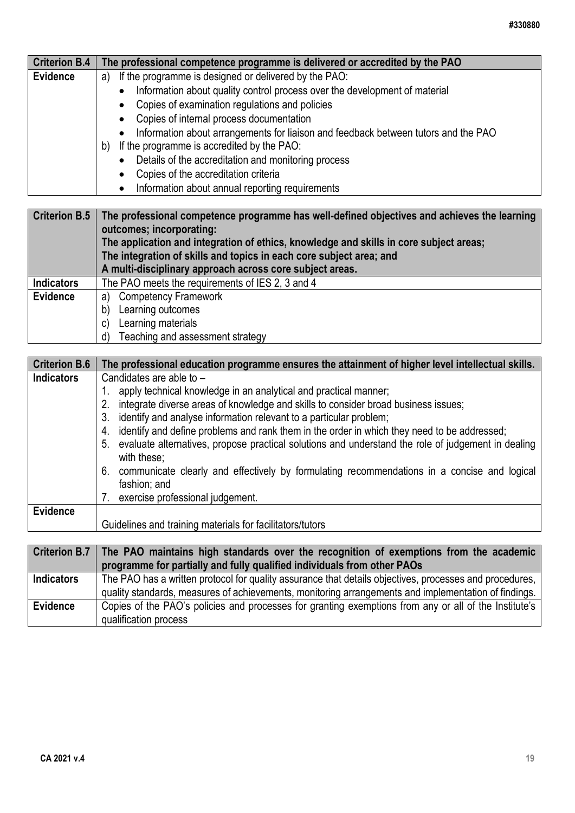| <b>Criterion B.4</b> | The professional competence programme is delivered or accredited by the PAO                                 |
|----------------------|-------------------------------------------------------------------------------------------------------------|
| <b>Evidence</b>      | If the programme is designed or delivered by the PAO:<br>a)                                                 |
|                      | Information about quality control process over the development of material                                  |
|                      | Copies of examination regulations and policies                                                              |
|                      | Copies of internal process documentation                                                                    |
|                      | Information about arrangements for liaison and feedback between tutors and the PAO                          |
|                      | If the programme is accredited by the PAO:<br>b)                                                            |
|                      | Details of the accreditation and monitoring process                                                         |
|                      | Copies of the accreditation criteria                                                                        |
|                      | Information about annual reporting requirements                                                             |
|                      |                                                                                                             |
|                      | Criterion $B.5$ The professional competence programme has well-defined objectives and achieves the learning |

|                   | Criterion B.5   The professional competence programme has well-defined objectives and achieves the learning<br>outcomes; incorporating:<br>The application and integration of ethics, knowledge and skills in core subject areas;<br>The integration of skills and topics in each core subject area; and<br>A multi-disciplinary approach across core subject areas. |
|-------------------|----------------------------------------------------------------------------------------------------------------------------------------------------------------------------------------------------------------------------------------------------------------------------------------------------------------------------------------------------------------------|
| <b>Indicators</b> | The PAO meets the requirements of IES 2, 3 and 4                                                                                                                                                                                                                                                                                                                     |
| <b>Evidence</b>   | <b>Competency Framework</b><br>a)                                                                                                                                                                                                                                                                                                                                    |
|                   | Learning outcomes<br>b)                                                                                                                                                                                                                                                                                                                                              |
|                   | Learning materials<br>C)                                                                                                                                                                                                                                                                                                                                             |
|                   | Teaching and assessment strategy<br>d)                                                                                                                                                                                                                                                                                                                               |

| <b>Criterion B.6</b> | The professional education programme ensures the attainment of higher level intellectual skills.                     |
|----------------------|----------------------------------------------------------------------------------------------------------------------|
| <b>Indicators</b>    | Candidates are able to $-$                                                                                           |
|                      | apply technical knowledge in an analytical and practical manner;                                                     |
|                      | integrate diverse areas of knowledge and skills to consider broad business issues;<br>2.                             |
|                      | identify and analyse information relevant to a particular problem;<br>3.                                             |
|                      | identify and define problems and rank them in the order in which they need to be addressed;<br>4.                    |
|                      | 5. evaluate alternatives, propose practical solutions and understand the role of judgement in dealing<br>with these; |
|                      | 6. communicate clearly and effectively by formulating recommendations in a concise and logical<br>fashion; and       |
|                      | 7. exercise professional judgement.                                                                                  |
| Evidence             |                                                                                                                      |
|                      | Guidelines and training materials for facilitators/tutors                                                            |
|                      |                                                                                                                      |
| Criterion R 7        | The PAO maintains high standards over the recognition of examptions from the academic                                |

|                   | Criterion B.7   The PAO maintains high standards over the recognition of exemptions from the academic   |
|-------------------|---------------------------------------------------------------------------------------------------------|
|                   | programme for partially and fully qualified individuals from other PAOs                                 |
| <b>Indicators</b> | The PAO has a written protocol for quality assurance that details objectives, processes and procedures, |
|                   | quality standards, measures of achievements, monitoring arrangements and implementation of findings.    |
| Evidence          | Copies of the PAO's policies and processes for granting exemptions from any or all of the Institute's   |
|                   | qualification process                                                                                   |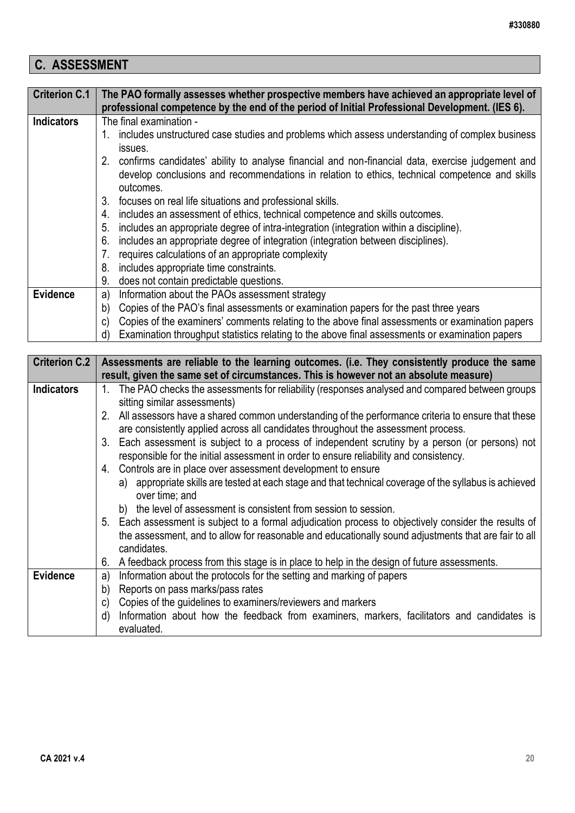# **C. ASSESSMENT**

| <b>Criterion C.1</b> | The PAO formally assesses whether prospective members have achieved an appropriate level of           |
|----------------------|-------------------------------------------------------------------------------------------------------|
|                      | professional competence by the end of the period of Initial Professional Development. (IES 6).        |
| <b>Indicators</b>    | The final examination -                                                                               |
|                      | 1. includes unstructured case studies and problems which assess understanding of complex business     |
|                      | issues.                                                                                               |
|                      | 2. confirms candidates' ability to analyse financial and non-financial data, exercise judgement and   |
|                      | develop conclusions and recommendations in relation to ethics, technical competence and skills        |
|                      | outcomes.                                                                                             |
|                      | 3. focuses on real life situations and professional skills.                                           |
|                      | includes an assessment of ethics, technical competence and skills outcomes.<br>4.                     |
|                      | includes an appropriate degree of intra-integration (integration within a discipline).<br>5.          |
|                      | includes an appropriate degree of integration (integration between disciplines).<br>6.                |
|                      | requires calculations of an appropriate complexity<br>7.                                              |
|                      | 8. includes appropriate time constraints.                                                             |
|                      | does not contain predictable questions.<br>9.                                                         |
| <b>Evidence</b>      | Information about the PAOs assessment strategy<br>a)                                                  |
|                      | Copies of the PAO's final assessments or examination papers for the past three years<br>b)            |
|                      | Copies of the examiners' comments relating to the above final assessments or examination papers<br>C) |
|                      | Examination throughput statistics relating to the above final assessments or examination papers<br>d) |

| <b>Criterion C.2</b> | Assessments are reliable to the learning outcomes. (i.e. They consistently produce the same                              |
|----------------------|--------------------------------------------------------------------------------------------------------------------------|
|                      | result, given the same set of circumstances. This is however not an absolute measure)                                    |
| <b>Indicators</b>    | The PAO checks the assessments for reliability (responses analysed and compared between groups<br>$1_{\cdot}$            |
|                      | sitting similar assessments)                                                                                             |
|                      | 2. All assessors have a shared common understanding of the performance criteria to ensure that these                     |
|                      | are consistently applied across all candidates throughout the assessment process.                                        |
|                      | 3. Each assessment is subject to a process of independent scrutiny by a person (or persons) not                          |
|                      | responsible for the initial assessment in order to ensure reliability and consistency.                                   |
|                      | 4. Controls are in place over assessment development to ensure                                                           |
|                      | a) appropriate skills are tested at each stage and that technical coverage of the syllabus is achieved<br>over time; and |
|                      | b) the level of assessment is consistent from session to session.                                                        |
|                      | 5. Each assessment is subject to a formal adjudication process to objectively consider the results of                    |
|                      | the assessment, and to allow for reasonable and educationally sound adjustments that are fair to all                     |
|                      | candidates.                                                                                                              |
|                      | A feedback process from this stage is in place to help in the design of future assessments.<br>6.                        |
| <b>Evidence</b>      | Information about the protocols for the setting and marking of papers<br>a)                                              |
|                      | Reports on pass marks/pass rates<br>b)                                                                                   |
|                      | Copies of the guidelines to examiners/reviewers and markers<br>C)                                                        |
|                      | Information about how the feedback from examiners, markers, facilitators and candidates is<br>d)                         |
|                      | evaluated.                                                                                                               |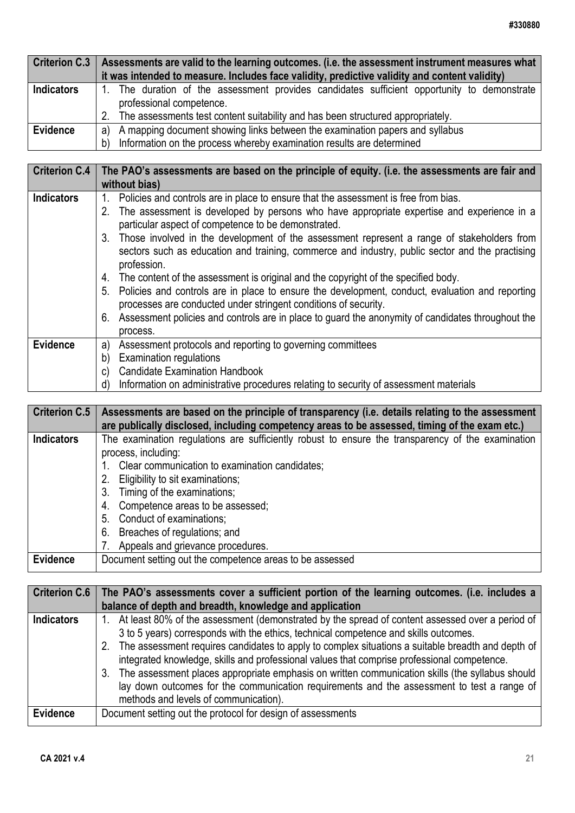| <b>Criterion C.3</b> | Assessments are valid to the learning outcomes. (i.e. the assessment instrument measures what                           |
|----------------------|-------------------------------------------------------------------------------------------------------------------------|
|                      | it was intended to measure. Includes face validity, predictive validity and content validity)                           |
| <b>Indicators</b>    | 1. The duration of the assessment provides candidates sufficient opportunity to demonstrate<br>professional competence. |
|                      | 2. The assessments test content suitability and has been structured appropriately.                                      |
| <b>Evidence</b>      | a) A mapping document showing links between the examination papers and syllabus                                         |
|                      | Information on the process whereby examination results are determined<br>b)                                             |

| <b>Criterion C.4</b> | The PAO's assessments are based on the principle of equity. (i.e. the assessments are fair and                                                                                                                                                   |
|----------------------|--------------------------------------------------------------------------------------------------------------------------------------------------------------------------------------------------------------------------------------------------|
|                      | without bias)                                                                                                                                                                                                                                    |
| <b>Indicators</b>    | Policies and controls are in place to ensure that the assessment is free from bias.<br>1.<br>2. The assessment is developed by persons who have appropriate expertise and experience in a<br>particular aspect of competence to be demonstrated. |
|                      | 3. Those involved in the development of the assessment represent a range of stakeholders from<br>sectors such as education and training, commerce and industry, public sector and the practising<br>profession.                                  |
|                      | 4. The content of the assessment is original and the copyright of the specified body.                                                                                                                                                            |
|                      | 5. Policies and controls are in place to ensure the development, conduct, evaluation and reporting<br>processes are conducted under stringent conditions of security.                                                                            |
|                      | 6. Assessment policies and controls are in place to guard the anonymity of candidates throughout the<br>process.                                                                                                                                 |
| <b>Evidence</b>      | Assessment protocols and reporting to governing committees<br>a)                                                                                                                                                                                 |
|                      | <b>Examination regulations</b><br>b)                                                                                                                                                                                                             |
|                      | <b>Candidate Examination Handbook</b><br>C)                                                                                                                                                                                                      |
|                      | Information on administrative procedures relating to security of assessment materials<br>d)                                                                                                                                                      |

| <b>Criterion C.5</b> | Assessments are based on the principle of transparency (i.e. details relating to the assessment<br>are publically disclosed, including competency areas to be assessed, timing of the exam etc.) |
|----------------------|--------------------------------------------------------------------------------------------------------------------------------------------------------------------------------------------------|
| <b>Indicators</b>    | The examination regulations are sufficiently robust to ensure the transparency of the examination                                                                                                |
|                      | process, including:                                                                                                                                                                              |
|                      | 1. Clear communication to examination candidates;                                                                                                                                                |
|                      | 2. Eligibility to sit examinations;                                                                                                                                                              |
|                      | 3. Timing of the examinations;                                                                                                                                                                   |
|                      | 4. Competence areas to be assessed;                                                                                                                                                              |
|                      | 5. Conduct of examinations;                                                                                                                                                                      |
|                      | 6. Breaches of regulations; and                                                                                                                                                                  |
|                      | Appeals and grievance procedures.                                                                                                                                                                |
| <b>Evidence</b>      | Document setting out the competence areas to be assessed                                                                                                                                         |

| Criterion C.6     | The PAO's assessments cover a sufficient portion of the learning outcomes. (i.e. includes a<br>balance of depth and breadth, knowledge and application                                                                                                                                                                                                                                                                                                                                                                                                                                                                                         |
|-------------------|------------------------------------------------------------------------------------------------------------------------------------------------------------------------------------------------------------------------------------------------------------------------------------------------------------------------------------------------------------------------------------------------------------------------------------------------------------------------------------------------------------------------------------------------------------------------------------------------------------------------------------------------|
| <b>Indicators</b> | 1. At least 80% of the assessment (demonstrated by the spread of content assessed over a period of<br>3 to 5 years) corresponds with the ethics, technical competence and skills outcomes.<br>2. The assessment requires candidates to apply to complex situations a suitable breadth and depth of<br>integrated knowledge, skills and professional values that comprise professional competence.<br>3. The assessment places appropriate emphasis on written communication skills (the syllabus should<br>lay down outcomes for the communication requirements and the assessment to test a range of<br>methods and levels of communication). |
| <b>Evidence</b>   | Document setting out the protocol for design of assessments                                                                                                                                                                                                                                                                                                                                                                                                                                                                                                                                                                                    |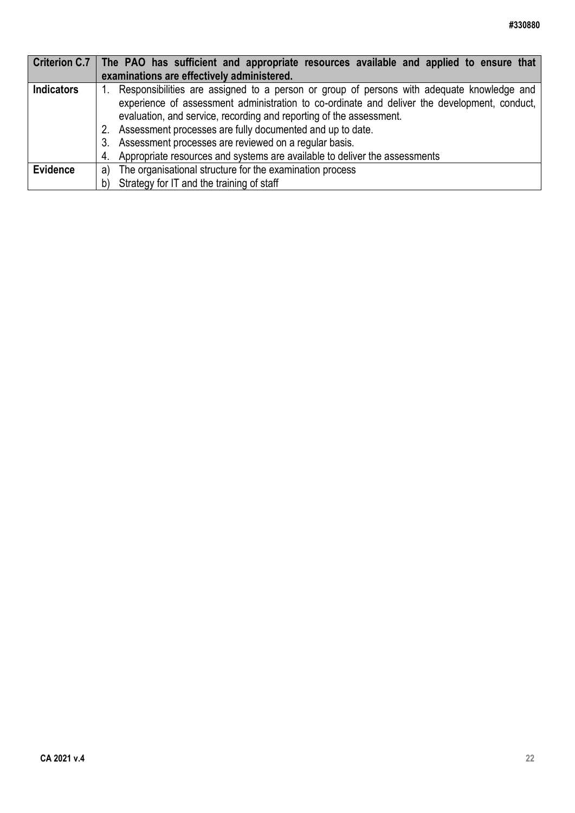| Criterion C.7     | The PAO has sufficient and appropriate resources available and applied to ensure that                                                                                                                                                                            |
|-------------------|------------------------------------------------------------------------------------------------------------------------------------------------------------------------------------------------------------------------------------------------------------------|
|                   | examinations are effectively administered.                                                                                                                                                                                                                       |
| <b>Indicators</b> | Responsibilities are assigned to a person or group of persons with adequate knowledge and<br>experience of assessment administration to co-ordinate and deliver the development, conduct,<br>evaluation, and service, recording and reporting of the assessment. |
|                   | 2. Assessment processes are fully documented and up to date.<br>3. Assessment processes are reviewed on a regular basis.                                                                                                                                         |
|                   | 4. Appropriate resources and systems are available to deliver the assessments                                                                                                                                                                                    |
| <b>Evidence</b>   | The organisational structure for the examination process<br>a)                                                                                                                                                                                                   |
|                   | b) Strategy for IT and the training of staff                                                                                                                                                                                                                     |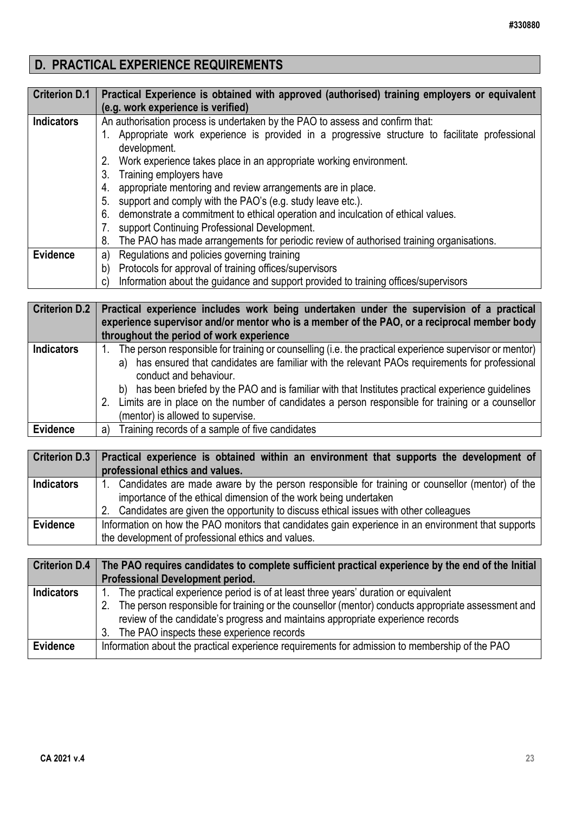# **D. PRACTICAL EXPERIENCE REQUIREMENTS**

| <b>Criterion D.1</b> | Practical Experience is obtained with approved (authorised) training employers or equivalent  |
|----------------------|-----------------------------------------------------------------------------------------------|
|                      | (e.g. work experience is verified)                                                            |
| <b>Indicators</b>    | An authorisation process is undertaken by the PAO to assess and confirm that:                 |
|                      | Appropriate work experience is provided in a progressive structure to facilitate professional |
|                      | development.                                                                                  |
|                      | Work experience takes place in an appropriate working environment.<br>2.                      |
|                      | Training employers have<br>3.                                                                 |
|                      | appropriate mentoring and review arrangements are in place.<br>4.                             |
|                      | support and comply with the PAO's (e.g. study leave etc.).<br>5.                              |
|                      | demonstrate a commitment to ethical operation and inculcation of ethical values.<br>6.        |
|                      | support Continuing Professional Development.                                                  |
|                      | The PAO has made arrangements for periodic review of authorised training organisations.<br>8. |
| <b>Evidence</b>      | Regulations and policies governing training<br>a)                                             |
|                      | Protocols for approval of training offices/supervisors<br>b)                                  |
|                      | Information about the guidance and support provided to training offices/supervisors<br>C)     |

| <b>Criterion D.2</b> | Practical experience includes work being undertaken under the supervision of a practical<br>experience supervisor and/or mentor who is a member of the PAO, or a reciprocal member body<br>throughout the period of work experience                                                                                                          |
|----------------------|----------------------------------------------------------------------------------------------------------------------------------------------------------------------------------------------------------------------------------------------------------------------------------------------------------------------------------------------|
| <b>Indicators</b>    | The person responsible for training or counselling (i.e. the practical experience supervisor or mentor)<br>a) has ensured that candidates are familiar with the relevant PAOs requirements for professional<br>conduct and behaviour.<br>b) has been briefed by the PAO and is familiar with that Institutes practical experience guidelines |
|                      | 2. Limits are in place on the number of candidates a person responsible for training or a counsellor<br>(mentor) is allowed to supervise.                                                                                                                                                                                                    |
| <b>Evidence</b>      | Training records of a sample of five candidates<br>a)                                                                                                                                                                                                                                                                                        |

| <b>Criterion D.3</b> | Practical experience is obtained within an environment that supports the development of<br>professional ethics and values.                                                                                                                                       |
|----------------------|------------------------------------------------------------------------------------------------------------------------------------------------------------------------------------------------------------------------------------------------------------------|
| <b>Indicators</b>    | 1. Candidates are made aware by the person responsible for training or counsellor (mentor) of the<br>importance of the ethical dimension of the work being undertaken<br>2. Candidates are given the opportunity to discuss ethical issues with other colleagues |
| <b>Evidence</b>      | Information on how the PAO monitors that candidates gain experience in an environment that supports<br>the development of professional ethics and values.                                                                                                        |

| <b>Criterion D.4</b> | The PAO requires candidates to complete sufficient practical experience by the end of the Initial  |
|----------------------|----------------------------------------------------------------------------------------------------|
|                      | <b>Professional Development period.</b>                                                            |
| <b>Indicators</b>    | The practical experience period is of at least three years' duration or equivalent                 |
|                      | The person responsible for training or the counsellor (mentor) conducts appropriate assessment and |
|                      | review of the candidate's progress and maintains appropriate experience records                    |
|                      | 3. The PAO inspects these experience records                                                       |
| Evidence             | Information about the practical experience requirements for admission to membership of the PAO     |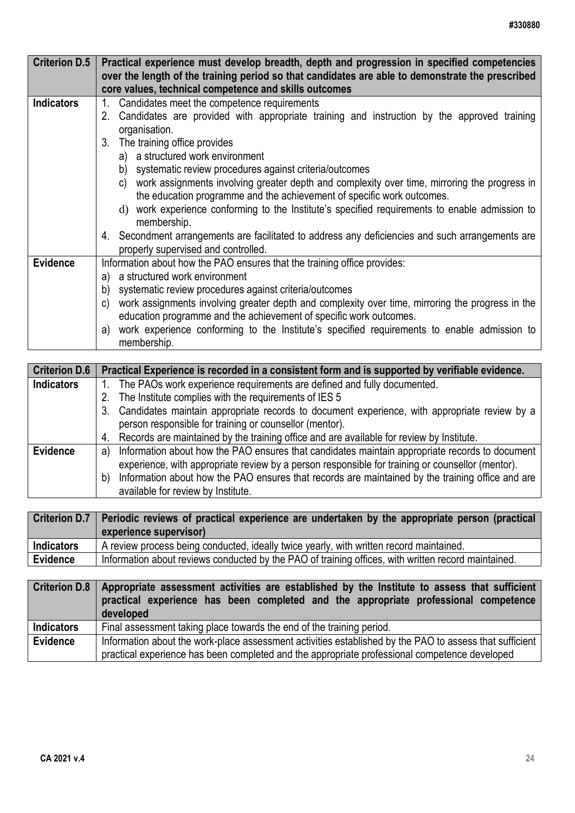| <b>Criterion D.5</b> | Practical experience must develop breadth, depth and progression in specified competencies<br>over the length of the training period so that candidates are able to demonstrate the prescribed<br>core values, technical competence and skills outcomes                                                                                                                                                                                                                                                                                                                                                       |
|----------------------|---------------------------------------------------------------------------------------------------------------------------------------------------------------------------------------------------------------------------------------------------------------------------------------------------------------------------------------------------------------------------------------------------------------------------------------------------------------------------------------------------------------------------------------------------------------------------------------------------------------|
| <b>Indicators</b>    | Candidates meet the competence requirements<br>1.<br>2. Candidates are provided with appropriate training and instruction by the approved training<br>organisation.<br>3. The training office provides<br>a) a structured work environment<br>b) systematic review procedures against criteria/outcomes<br>c) work assignments involving greater depth and complexity over time, mirroring the progress in<br>the education programme and the achievement of specific work outcomes.<br>work experience conforming to the Institute's specified requirements to enable admission to<br>$\rm d$<br>membership. |
|                      | 4. Secondment arrangements are facilitated to address any deficiencies and such arrangements are<br>properly supervised and controlled.                                                                                                                                                                                                                                                                                                                                                                                                                                                                       |
| <b>Evidence</b>      | Information about how the PAO ensures that the training office provides:<br>a) a structured work environment<br>b) systematic review procedures against criteria/outcomes<br>work assignments involving greater depth and complexity over time, mirroring the progress in the<br>C)<br>education programme and the achievement of specific work outcomes.<br>a) work experience conforming to the Institute's specified requirements to enable admission to<br>membership.                                                                                                                                    |

| <b>Criterion D.6</b> | Practical Experience is recorded in a consistent form and is supported by verifiable evidence.      |
|----------------------|-----------------------------------------------------------------------------------------------------|
| <b>Indicators</b>    | 1. The PAOs work experience requirements are defined and fully documented.                          |
|                      | 2. The Institute complies with the requirements of IES 5                                            |
|                      | 3. Candidates maintain appropriate records to document experience, with appropriate review by a     |
|                      | person responsible for training or counsellor (mentor).                                             |
|                      | 4. Records are maintained by the training office and are available for review by Institute.         |
| <b>Evidence</b>      | a) Information about how the PAO ensures that candidates maintain appropriate records to document   |
|                      | experience, with appropriate review by a person responsible for training or counsellor (mentor).    |
|                      | b) Information about how the PAO ensures that records are maintained by the training office and are |
|                      | available for review by Institute.                                                                  |

|                   | Criterion D.7   Periodic reviews of practical experience are undertaken by the appropriate person (practical<br>experience supervisor) |
|-------------------|----------------------------------------------------------------------------------------------------------------------------------------|
| <b>Indicators</b> | A review process being conducted, ideally twice yearly, with written record maintained.                                                |
| <b>Evidence</b>   | Information about reviews conducted by the PAO of training offices, with written record maintained.                                    |

| <b>Criterion D.8</b> | Appropriate assessment activities are established by the Institute to assess that sufficient<br>practical experience has been completed and the appropriate professional competence<br>developed |
|----------------------|--------------------------------------------------------------------------------------------------------------------------------------------------------------------------------------------------|
| <b>Indicators</b>    | Final assessment taking place towards the end of the training period.                                                                                                                            |
| Evidence             | Information about the work-place assessment activities established by the PAO to assess that sufficient                                                                                          |
|                      | practical experience has been completed and the appropriate professional competence developed                                                                                                    |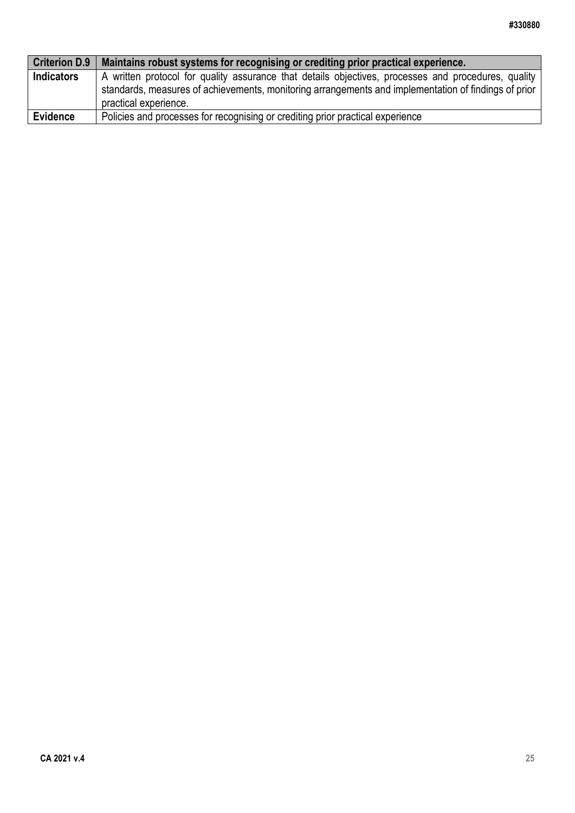| <b>Criterion D.9</b> | Maintains robust systems for recognising or crediting prior practical experience.                    |
|----------------------|------------------------------------------------------------------------------------------------------|
| <b>Indicators</b>    | A written protocol for quality assurance that details objectives, processes and procedures, quality  |
|                      | standards, measures of achievements, monitoring arrangements and implementation of findings of prior |
|                      | practical experience.                                                                                |
| <b>Evidence</b>      | Policies and processes for recognising or crediting prior practical experience                       |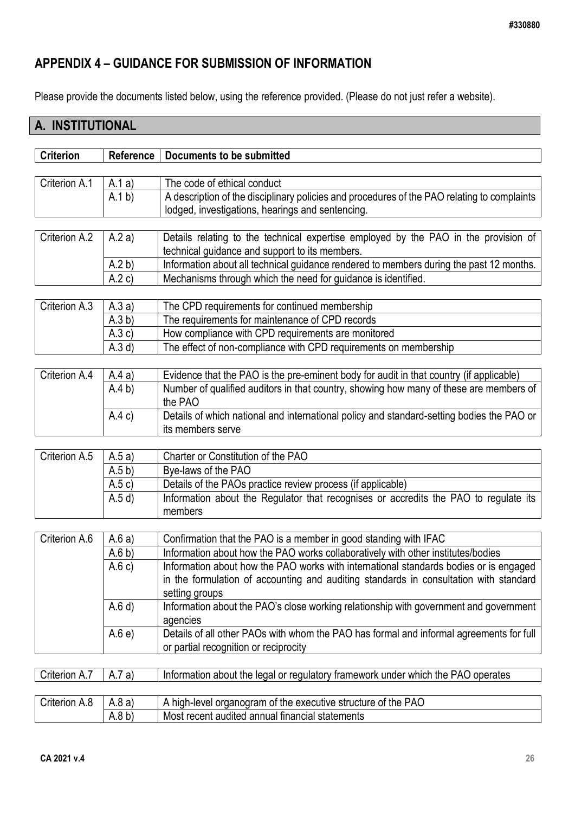## <span id="page-25-0"></span>**APPENDIX 4 – GUIDANCE FOR SUBMISSION OF INFORMATION**

Please provide the documents listed below, using the reference provided. (Please do not just refer a website).

# **A. INSTITUTIONAL**

| <b>Criterion</b> | <b>Reference</b> | Documents to be submitted                                                                   |
|------------------|------------------|---------------------------------------------------------------------------------------------|
|                  |                  |                                                                                             |
| Criterion A.1    | A.1a)            | The code of ethical conduct                                                                 |
|                  | (A.1 b)          | A description of the disciplinary policies and procedures of the PAO relating to complaints |
|                  |                  | lodged, investigations, hearings and sentencing.                                            |
|                  |                  |                                                                                             |
| Criterion A.2    | A.2a)            | Details relating to the technical expertise employed by the PAO in the provision of         |
|                  |                  | technical guidance and support to its members.                                              |
|                  | A.2 b)           | Information about all technical guidance rendered to members during the past 12 months.     |
|                  | A.2c)            | Mechanisms through which the need for guidance is identified.                               |
|                  |                  |                                                                                             |
| Criterion A.3    | A.3a)            | The CPD requirements for continued membership                                               |
|                  | (A.3 b)          | The requirements for maintenance of CPD records                                             |
|                  | (A.3c)           | How compliance with CPD requirements are monitored                                          |
|                  | (A.3 d)          | The effect of non-compliance with CPD requirements on membership                            |
|                  |                  |                                                                                             |
| Criterion A.4    | A.4a)            | Evidence that the PAO is the pre-eminent body for audit in that country (if applicable)     |
|                  | A.4 b)           | Number of qualified auditors in that country, showing how many of these are members of      |
|                  |                  | the PAO                                                                                     |
|                  | A.4c)            | Details of which national and international policy and standard-setting bodies the PAO or   |
|                  |                  | its members serve                                                                           |
|                  |                  |                                                                                             |
| Criterion A.5    | A.5a)            | Charter or Constitution of the PAO                                                          |
|                  | (A.5 b)          | Bye-laws of the PAO                                                                         |
|                  | A.5c)            | Details of the PAOs practice review process (if applicable)                                 |
|                  | (A.5d)           | Information about the Regulator that recognises or accredits the PAO to regulate its        |
|                  |                  | members                                                                                     |

| Criterion A.6 | A.6a)   | Confirmation that the PAO is a member in good standing with IFAC                        |
|---------------|---------|-----------------------------------------------------------------------------------------|
|               | (A.6 b) | Information about how the PAO works collaboratively with other institutes/bodies        |
|               | A.6c)   | Information about how the PAO works with international standards bodies or is engaged   |
|               |         | in the formulation of accounting and auditing standards in consultation with standard   |
|               |         | setting groups                                                                          |
|               | (A.6d)  | Information about the PAO's close working relationship with government and government   |
|               |         | agencies                                                                                |
|               | A.6e    | Details of all other PAOs with whom the PAO has formal and informal agreements for full |
|               |         | or partial recognition or reciprocity                                                   |

Criterion A.7  $\mid$  A.7 a) Information about the legal or regulatory framework under which the PAO operates

| Crıterıon <i>l</i><br>. v | \.8 a)<br>, | PAC<br>of the<br>of the executive<br>hiah-level .<br>organogram<br>structure |
|---------------------------|-------------|------------------------------------------------------------------------------|
|                           | 4.8 D)<br>A | annual financial<br>Most recent<br>statements<br>audited                     |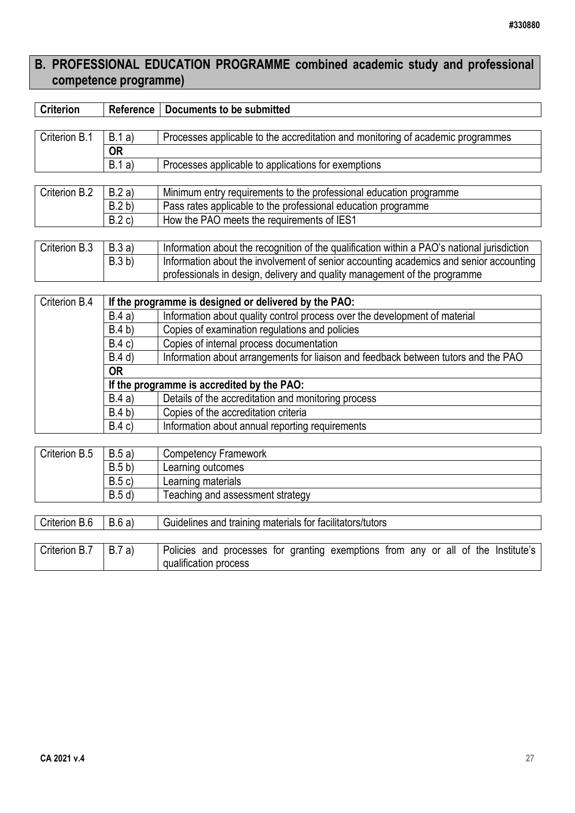# **B. PROFESSIONAL EDUCATION PROGRAMME combined academic study and professional competence programme)**

| <b>Criterion</b>       | Reference | Documents to be submitted                                                                   |  |  |  |
|------------------------|-----------|---------------------------------------------------------------------------------------------|--|--|--|
|                        |           |                                                                                             |  |  |  |
| Criterion B.1          | B.1a)     | Processes applicable to the accreditation and monitoring of academic programmes             |  |  |  |
|                        | <b>OR</b> |                                                                                             |  |  |  |
|                        | B.1a)     | Processes applicable to applications for exemptions                                         |  |  |  |
|                        |           |                                                                                             |  |  |  |
| Criterion B.2          | B.2a)     | Minimum entry requirements to the professional education programme                          |  |  |  |
|                        | B.2 b)    | Pass rates applicable to the professional education programme                               |  |  |  |
|                        | B.2 c)    | How the PAO meets the requirements of IES1                                                  |  |  |  |
|                        |           |                                                                                             |  |  |  |
| Criterion B.3<br>B.3a) |           | Information about the recognition of the qualification within a PAO's national jurisdiction |  |  |  |
|                        | B.3 b)    | Information about the involvement of senior accounting academics and senior accounting      |  |  |  |
|                        |           | professionals in design, delivery and quality management of the programme                   |  |  |  |
|                        |           |                                                                                             |  |  |  |
| Criterion B.4          |           | If the programme is designed or delivered by the PAO:                                       |  |  |  |
|                        | B.4a)     | Information about quality control process over the development of material                  |  |  |  |
|                        | B.4 b)    | Copies of examination regulations and policies                                              |  |  |  |
|                        | B.4c)     | Copies of internal process documentation                                                    |  |  |  |
|                        | B.4 d)    | Information about arrangements for liaison and feedback between tutors and the PAO          |  |  |  |
|                        | <b>OR</b> |                                                                                             |  |  |  |

| UΚ     |                                                     |
|--------|-----------------------------------------------------|
|        | If the programme is accredited by the PAO:          |
| B.4a)  | Details of the accreditation and monitoring process |
| B.4 b) | Copies of the accreditation criteria                |
| B.4c)  | Information about annual reporting requirements     |

| Criterion B.5 | B.5a)  | <b>Competency Framework</b>                               |
|---------------|--------|-----------------------------------------------------------|
|               | B.5 b) | Learning outcomes                                         |
|               | B.5c)  | Learning materials                                        |
|               | B.5 d  | Teaching and assessment strategy                          |
|               |        |                                                           |
| Criterion B.6 | B.6a)  | Guidelines and training materials for facilitators/tutors |
|               |        |                                                           |

| Criterion B.7 | B.7 a) | Policies and processes for granting exemptions from any or all of the Institute's |  |  |  |  |  |  |
|---------------|--------|-----------------------------------------------------------------------------------|--|--|--|--|--|--|
|               |        | qualification process                                                             |  |  |  |  |  |  |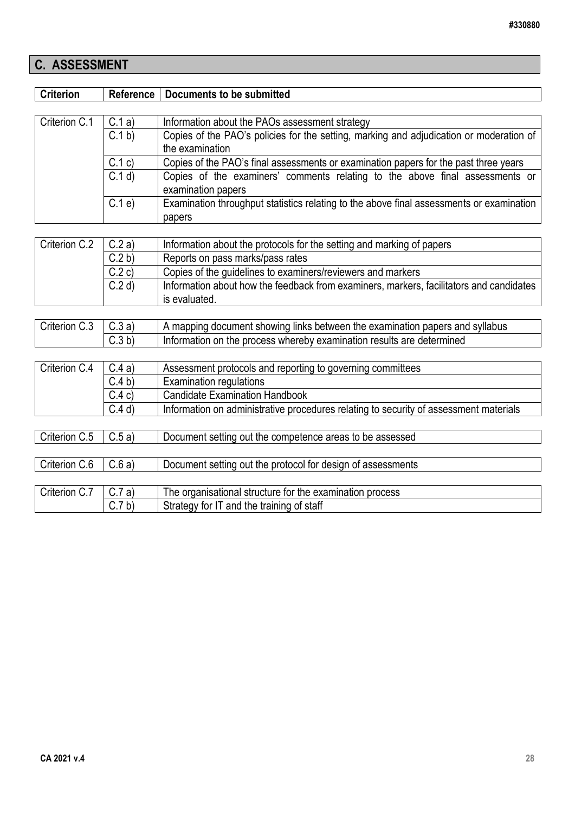# **C. ASSESSMENT**

| <b>Criterion</b> | Reference | <b>Documents to be submitted</b>                                                                   |  |  |  |
|------------------|-----------|----------------------------------------------------------------------------------------------------|--|--|--|
|                  |           |                                                                                                    |  |  |  |
| Criterion C.1    | C.1a)     | Information about the PAOs assessment strategy                                                     |  |  |  |
|                  | C.1 b     | Copies of the PAO's policies for the setting, marking and adjudication or moderation of            |  |  |  |
|                  |           | the examination                                                                                    |  |  |  |
|                  | C.1 c)    | Copies of the PAO's final assessments or examination papers for the past three years               |  |  |  |
|                  | C.1 d     | Copies of the examiners' comments relating to the above final assessments or<br>examination papers |  |  |  |
|                  | C.1e      | Examination throughput statistics relating to the above final assessments or examination<br>papers |  |  |  |
|                  |           |                                                                                                    |  |  |  |
| Criterion C.2    | C.2a)     | Information about the protocols for the setting and marking of papers                              |  |  |  |
|                  | C.2 b     | Reports on pass marks/pass rates                                                                   |  |  |  |
|                  | C.2c)     | Copies of the guidelines to examiners/reviewers and markers                                        |  |  |  |
|                  | C.2 d     | Information about how the feedback from examiners, markers, facilitators and candidates            |  |  |  |
|                  |           | is evaluated.                                                                                      |  |  |  |
|                  |           |                                                                                                    |  |  |  |
| Criterion C.3    | C.3a)     | A mapping document showing links between the examination papers and syllabus                       |  |  |  |
|                  | C.3 b)    | Information on the process whereby examination results are determined                              |  |  |  |
|                  |           |                                                                                                    |  |  |  |
| Criterion C.4    | C.4a)     | Assessment protocols and reporting to governing committees                                         |  |  |  |
|                  | C.4 b     | <b>Examination regulations</b>                                                                     |  |  |  |
|                  | C.4c)     | <b>Candidate Examination Handbook</b>                                                              |  |  |  |
|                  | $C.4$ d)  | Information on administrative procedures relating to security of assessment materials              |  |  |  |
|                  |           |                                                                                                    |  |  |  |
| Criterion C.5    | C.5a)     | Document setting out the competence areas to be assessed                                           |  |  |  |
|                  |           |                                                                                                    |  |  |  |
| Criterion C.6    | C.6a)     | Document setting out the protocol for design of assessments                                        |  |  |  |
|                  |           |                                                                                                    |  |  |  |
| Criterion C.7    | C.7a)     | The organisational structure for the examination process                                           |  |  |  |
|                  | C.7 b)    | Strategy for IT and the training of staff                                                          |  |  |  |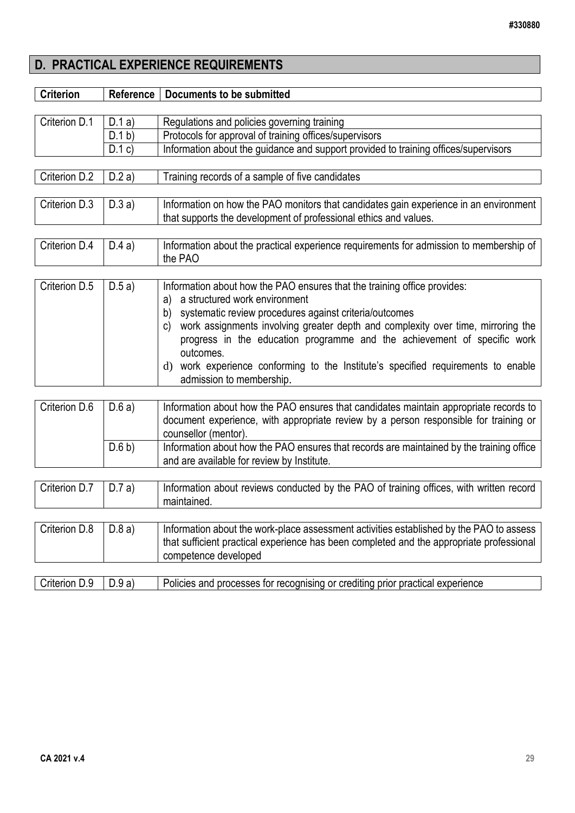# **D. PRACTICAL EXPERIENCE REQUIREMENTS**

| <b>Criterion</b> | Reference<br><b>Documents to be submitted</b> |                                                                                                                                                                                                                                                                                                                                                                                                                                                                                     |  |  |
|------------------|-----------------------------------------------|-------------------------------------------------------------------------------------------------------------------------------------------------------------------------------------------------------------------------------------------------------------------------------------------------------------------------------------------------------------------------------------------------------------------------------------------------------------------------------------|--|--|
|                  |                                               |                                                                                                                                                                                                                                                                                                                                                                                                                                                                                     |  |  |
| Criterion D.1    | D.1a)                                         | Regulations and policies governing training                                                                                                                                                                                                                                                                                                                                                                                                                                         |  |  |
|                  | D.1 b                                         | Protocols for approval of training offices/supervisors                                                                                                                                                                                                                                                                                                                                                                                                                              |  |  |
|                  | D.1 c)                                        | Information about the guidance and support provided to training offices/supervisors                                                                                                                                                                                                                                                                                                                                                                                                 |  |  |
| Criterion D.2    | D.2a)                                         | Training records of a sample of five candidates                                                                                                                                                                                                                                                                                                                                                                                                                                     |  |  |
| Criterion D.3    | D.3a)                                         | Information on how the PAO monitors that candidates gain experience in an environment<br>that supports the development of professional ethics and values.                                                                                                                                                                                                                                                                                                                           |  |  |
| Criterion D.4    | D.4a)                                         | Information about the practical experience requirements for admission to membership of<br>the PAO                                                                                                                                                                                                                                                                                                                                                                                   |  |  |
| Criterion D.5    | D.5a)                                         | Information about how the PAO ensures that the training office provides:<br>a structured work environment<br>a)<br>systematic review procedures against criteria/outcomes<br>b)<br>work assignments involving greater depth and complexity over time, mirroring the<br>C)<br>progress in the education programme and the achievement of specific work<br>outcomes.<br>d) work experience conforming to the Institute's specified requirements to enable<br>admission to membership. |  |  |
| Criterion D.6    | D.6a)                                         | Information about how the PAO ensures that candidates maintain appropriate records to<br>document experience, with appropriate review by a person responsible for training or<br>counsellor (mentor).                                                                                                                                                                                                                                                                               |  |  |
|                  | D.6 b)                                        | Information about how the PAO ensures that records are maintained by the training office<br>and are available for review by Institute.                                                                                                                                                                                                                                                                                                                                              |  |  |
|                  |                                               |                                                                                                                                                                                                                                                                                                                                                                                                                                                                                     |  |  |
| Criterion D.7    | D.7a)                                         | Information about reviews conducted by the PAO of training offices, with written record<br>maintained.                                                                                                                                                                                                                                                                                                                                                                              |  |  |
| Criterion D.8    | D.8a)                                         | Information about the work-place assessment activities established by the PAO to assess<br>that sufficient practical experience has been completed and the appropriate professional<br>competence developed                                                                                                                                                                                                                                                                         |  |  |
| Criterion D.9    | D.9a)                                         | Policies and processes for recognising or crediting prior practical experience                                                                                                                                                                                                                                                                                                                                                                                                      |  |  |